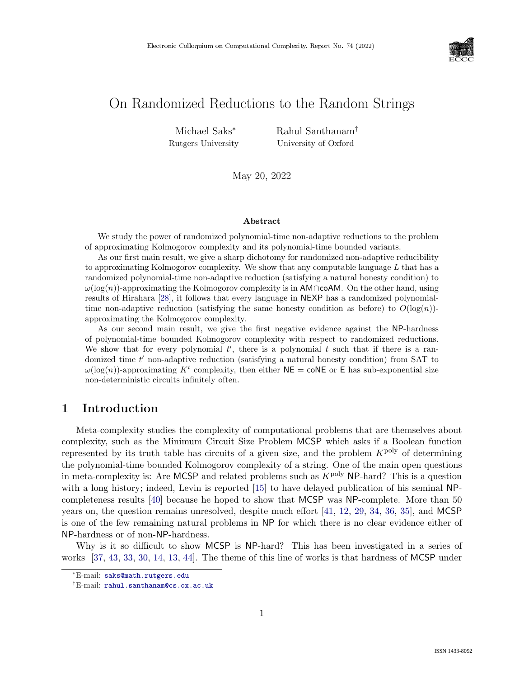

# On Randomized Reductions to the Random Strings

Michael Saks<sup>∗</sup> Rutgers University Rahul Santhanam† University of Oxford

May 20, 2022

### Abstract

We study the power of randomized polynomial-time non-adaptive reductions to the problem of approximating Kolmogorov complexity and its polynomial-time bounded variants.

As our first main result, we give a sharp dichotomy for randomized non-adaptive reducibility to approximating Kolmogorov complexity. We show that any computable language  $L$  that has a randomized polynomial-time non-adaptive reduction (satisfying a natural honesty condition) to  $\omega(\log(n))$ -approximating the Kolmogorov complexity is in AM∩coAM. On the other hand, using results of Hirahara [\[28\]](#page--1-0), it follows that every language in NEXP has a randomized polynomialtime non-adaptive reduction (satisfying the same honesty condition as before) to  $O(\log(n))$ approximating the Kolmogorov complexity.

As our second main result, we give the first negative evidence against the NP-hardness of polynomial-time bounded Kolmogorov complexity with respect to randomized reductions. We show that for every polynomial  $t'$ , there is a polynomial  $t$  such that if there is a randomized time  $t'$  non-adaptive reduction (satisfying a natural honesty condition) from SAT to  $\omega(\log(n))$ -approximating  $K^t$  complexity, then either  $NE = \text{coNE or } E$  has sub-exponential size non-deterministic circuits infinitely often.

## 1 Introduction

Meta-complexity studies the complexity of computational problems that are themselves about complexity, such as the Minimum Circuit Size Problem MCSP which asks if a Boolean function represented by its truth table has circuits of a given size, and the problem  $K^{\text{poly}}$  of determining the polynomial-time bounded Kolmogorov complexity of a string. One of the main open questions in meta-complexity is: Are MCSP and related problems such as  $K^{\text{poly}}$  NP-hard? This is a question with a long history; indeed, Levin is reported [\[15\]](#page--1-1) to have delayed publication of his seminal NPcompleteness results [\[40\]](#page--1-2) because he hoped to show that MCSP was NP-complete. More than 50 years on, the question remains unresolved, despite much effort [\[41,](#page--1-3) [12,](#page--1-4) [29,](#page--1-5) [34,](#page--1-6) [36,](#page--1-7) [35\]](#page--1-8), and MCSP is one of the few remaining natural problems in NP for which there is no clear evidence either of NP-hardness or of non-NP-hardness.

Why is it so difficult to show MCSP is NP-hard? This has been investigated in a series of works [\[37,](#page--1-9) [43,](#page--1-1) [33,](#page--1-10) [30,](#page--1-11) [14,](#page--1-12) [13,](#page--1-13) [44\]](#page--1-14). The theme of this line of works is that hardness of MCSP under

<sup>∗</sup>E-mail: [saks@math.rutgers.edu](mailto:saks@math.rutgers.edu)

<sup>†</sup>E-mail: [rahul.santhanam@cs.ox.ac.uk](mailto:rahul.santhanam@cs.ox.ac.uk)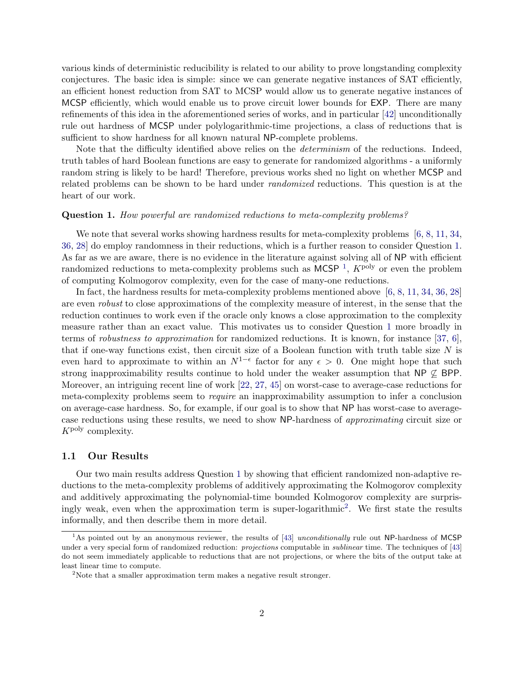various kinds of deterministic reducibility is related to our ability to prove longstanding complexity conjectures. The basic idea is simple: since we can generate negative instances of SAT efficiently, an efficient honest reduction from SAT to MCSP would allow us to generate negative instances of MCSP efficiently, which would enable us to prove circuit lower bounds for EXP. There are many refinements of this idea in the aforementioned series of works, and in particular [\[42\]](#page-30-0) unconditionally rule out hardness of MCSP under polylogarithmic-time projections, a class of reductions that is sufficient to show hardness for all known natural NP-complete problems.

Note that the difficulty identified above relies on the *determinism* of the reductions. Indeed, truth tables of hard Boolean functions are easy to generate for randomized algorithms - a uniformly random string is likely to be hard! Therefore, previous works shed no light on whether MCSP and related problems can be shown to be hard under randomized reductions. This question is at the heart of our work.

#### <span id="page-1-0"></span>Question 1. How powerful are randomized reductions to meta-complexity problems?

We note that several works showing hardness results for meta-complexity problems [\[6,](#page-27-0) [8,](#page-27-1) [11,](#page-28-0) [34,](#page-29-0) [36,](#page-29-1) [28\]](#page-29-2) do employ randomness in their reductions, which is a further reason to consider Question [1.](#page-1-0) As far as we are aware, there is no evidence in the literature against solving all of NP with efficient randomized reductions to meta-complexity problems such as  $MCSP<sup>1</sup>$  $MCSP<sup>1</sup>$  $MCSP<sup>1</sup>$ ,  $K^{poly}$  or even the problem of computing Kolmogorov complexity, even for the case of many-one reductions.

In fact, the hardness results for meta-complexity problems mentioned above [\[6,](#page-27-0) [8,](#page-27-1) [11,](#page-28-0) [34,](#page-29-0) [36,](#page-29-1) [28\]](#page-29-2) are even robust to close approximations of the complexity measure of interest, in the sense that the reduction continues to work even if the oracle only knows a close approximation to the complexity measure rather than an exact value. This motivates us to consider Question [1](#page-1-0) more broadly in terms of robustness to approximation for randomized reductions. It is known, for instance [\[37,](#page-30-1) [6\]](#page-27-0), that if one-way functions exist, then circuit size of a Boolean function with truth table size  $N$  is even hard to approximate to within an  $N^{1-\epsilon}$  factor for any  $\epsilon > 0$ . One might hope that such strong inapproximability results continue to hold under the weaker assumption that NP  $\varphi$  BPP. Moreover, an intriguing recent line of work [\[22,](#page-28-1) [27,](#page-29-3) [45\]](#page-30-2) on worst-case to average-case reductions for meta-complexity problems seem to require an inapproximability assumption to infer a conclusion on average-case hardness. So, for example, if our goal is to show that NP has worst-case to averagecase reductions using these results, we need to show NP-hardness of approximating circuit size or  $K^{\text{poly}}$  complexity.

### 1.1 Our Results

Our two main results address Question [1](#page-1-0) by showing that efficient randomized non-adaptive reductions to the meta-complexity problems of additively approximating the Kolmogorov complexity and additively approximating the polynomial-time bounded Kolmogorov complexity are surpris-ingly weak, even when the approximation term is super-logarithmic<sup>[2](#page-1-2)</sup>. We first state the results informally, and then describe them in more detail.

<span id="page-1-1"></span><sup>&</sup>lt;sup>1</sup>As pointed out by an anonymous reviewer, the results of [\[43\]](#page-30-3) unconditionally rule out NP-hardness of MCSP under a very special form of randomized reduction: projections computable in *sublinear* time. The techniques of [\[43\]](#page-30-3) do not seem immediately applicable to reductions that are not projections, or where the bits of the output take at least linear time to compute.

<span id="page-1-2"></span><sup>&</sup>lt;sup>2</sup>Note that a smaller approximation term makes a negative result stronger.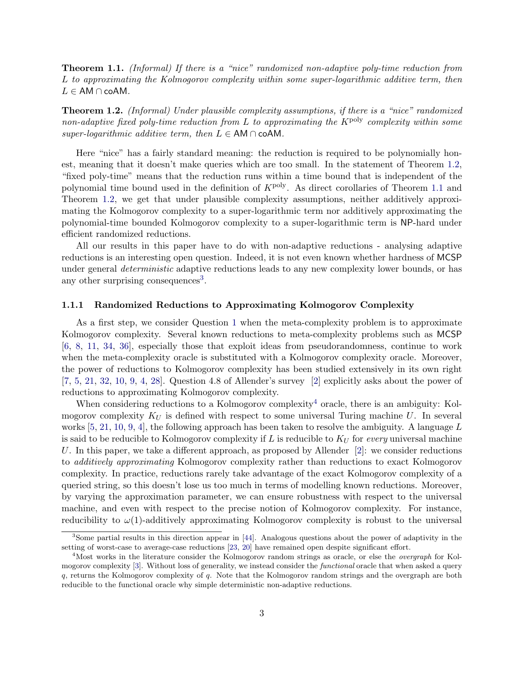<span id="page-2-1"></span>**Theorem 1.1.** (Informal) If there is a "nice" randomized non-adaptive poly-time reduction from L to approximating the Kolmogorov complexity within some super-logarithmic additive term, then  $L \in AM \cap coAM$ .

<span id="page-2-0"></span>Theorem 1.2. (Informal) Under plausible complexity assumptions, if there is a "nice" randomized non-adaptive fixed poly-time reduction from  $L$  to approximating the  $K^{\text{poly}}$  complexity within some super-logarithmic additive term, then  $L \in AM \cap coAM$ .

Here "nice" has a fairly standard meaning: the reduction is required to be polynomially honest, meaning that it doesn't make queries which are too small. In the statement of Theorem [1.2,](#page-2-0) "fixed poly-time" means that the reduction runs within a time bound that is independent of the polynomial time bound used in the definition of  $K^{\text{poly}}$ . As direct corollaries of Theorem [1.1](#page-2-1) and Theorem [1.2,](#page-2-0) we get that under plausible complexity assumptions, neither additively approximating the Kolmogorov complexity to a super-logarithmic term nor additively approximating the polynomial-time bounded Kolmogorov complexity to a super-logarithmic term is NP-hard under efficient randomized reductions.

All our results in this paper have to do with non-adaptive reductions - analysing adaptive reductions is an interesting open question. Indeed, it is not even known whether hardness of MCSP under general *deterministic* adaptive reductions leads to any new complexity lower bounds, or has any other surprising consequences<sup>[3](#page-2-2)</sup>.

### 1.1.1 Randomized Reductions to Approximating Kolmogorov Complexity

As a first step, we consider Question [1](#page-1-0) when the meta-complexity problem is to approximate Kolmogorov complexity. Several known reductions to meta-complexity problems such as MCSP [\[6,](#page-27-0) [8,](#page-27-1) [11,](#page-28-0) [34,](#page-29-0) [36\]](#page-29-1), especially those that exploit ideas from pseudorandomness, continue to work when the meta-complexity oracle is substituted with a Kolmogorov complexity oracle. Moreover, the power of reductions to Kolmogorov complexity has been studied extensively in its own right [\[7,](#page-27-2) [5,](#page-27-3) [21,](#page-28-2) [32,](#page-29-4) [10,](#page-28-3) [9,](#page-27-4) [4,](#page-27-5) [28\]](#page-29-2). Question 4.8 of Allender's survey [\[2\]](#page-27-6) explicitly asks about the power of reductions to approximating Kolmogorov complexity.

When considering reductions to a Kolmogorov complexity<sup>[4](#page-2-3)</sup> oracle, there is an ambiguity: Kolmogorov complexity  $K_U$  is defined with respect to some universal Turing machine U. In several works  $[5, 21, 10, 9, 4]$  $[5, 21, 10, 9, 4]$  $[5, 21, 10, 9, 4]$  $[5, 21, 10, 9, 4]$  $[5, 21, 10, 9, 4]$  $[5, 21, 10, 9, 4]$  $[5, 21, 10, 9, 4]$  $[5, 21, 10, 9, 4]$ , the following approach has been taken to resolve the ambiguity. A language L is said to be reducible to Kolmogorov complexity if L is reducible to  $K_U$  for every universal machine U. In this paper, we take a different approach, as proposed by Allender  $[2]$ : we consider reductions to additively approximating Kolmogorov complexity rather than reductions to exact Kolmogorov complexity. In practice, reductions rarely take advantage of the exact Kolmogorov complexity of a queried string, so this doesn't lose us too much in terms of modelling known reductions. Moreover, by varying the approximation parameter, we can ensure robustness with respect to the universal machine, and even with respect to the precise notion of Kolmogorov complexity. For instance, reducibility to  $\omega(1)$ -additively approximating Kolmogorov complexity is robust to the universal

<span id="page-2-2"></span><sup>3</sup>Some partial results in this direction appear in [\[44\]](#page-30-4). Analogous questions about the power of adaptivity in the setting of worst-case to average-case reductions [\[23,](#page-28-4) [20\]](#page-28-5) have remained open despite significant effort.

<span id="page-2-3"></span><sup>&</sup>lt;sup>4</sup>Most works in the literature consider the Kolmogorov random strings as oracle, or else the *overgraph* for Kol-mogorov complexity [\[3\]](#page-27-7). Without loss of generality, we instead consider the *functional* oracle that when asked a query q, returns the Kolmogorov complexity of q. Note that the Kolmogorov random strings and the overgraph are both reducible to the functional oracle why simple deterministic non-adaptive reductions.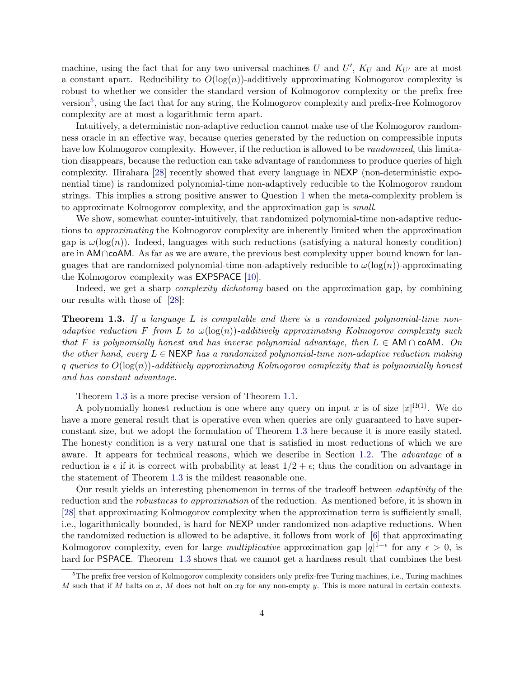machine, using the fact that for any two universal machines U and  $U'$ ,  $K_U$  and  $K_{U'}$  are at most a constant apart. Reducibility to  $O(\log(n))$ -additively approximating Kolmogorov complexity is robust to whether we consider the standard version of Kolmogorov complexity or the prefix free version<sup>[5](#page-3-0)</sup>, using the fact that for any string, the Kolmogorov complexity and prefix-free Kolmogorov complexity are at most a logarithmic term apart.

Intuitively, a deterministic non-adaptive reduction cannot make use of the Kolmogorov randomness oracle in an effective way, because queries generated by the reduction on compressible inputs have low Kolmogorov complexity. However, if the reduction is allowed to be *randomized*, this limitation disappears, because the reduction can take advantage of randomness to produce queries of high complexity. Hirahara [\[28\]](#page-29-2) recently showed that every language in NEXP (non-deterministic exponential time) is randomized polynomial-time non-adaptively reducible to the Kolmogorov random strings. This implies a strong positive answer to Question [1](#page-1-0) when the meta-complexity problem is to approximate Kolmogorov complexity, and the approximation gap is small.

We show, somewhat counter-intuitively, that randomized polynomial-time non-adaptive reductions to approximating the Kolmogorov complexity are inherently limited when the approximation gap is  $\omega(\log(n))$ . Indeed, languages with such reductions (satisfying a natural honesty condition) are in AM∩coAM. As far as we are aware, the previous best complexity upper bound known for languages that are randomized polynomial-time non-adaptively reducible to  $\omega(\log(n))$ -approximating the Kolmogorov complexity was EXPSPACE [\[10\]](#page-28-3).

Indeed, we get a sharp *complexity dichotomy* based on the approximation gap, by combining our results with those of [\[28\]](#page-29-2):

<span id="page-3-1"></span>**Theorem 1.3.** If a language L is computable and there is a randomized polynomial-time nonadaptive reduction F from L to  $\omega(\log(n))$ -additively approximating Kolmogorov complexity such that F is polynomially honest and has inverse polynomial advantage, then  $L \in AM \cap coAM$ . On the other hand, every  $L \in \text{NEXP}$  has a randomized polynomial-time non-adaptive reduction making q queries to  $O(\log(n))$ -additively approximating Kolmogorov complexity that is polynomially honest and has constant advantage.

Theorem [1.3](#page-3-1) is a more precise version of Theorem [1.1.](#page-2-1)

A polynomially honest reduction is one where any query on input x is of size  $|x|^{\Omega(1)}$ . We do have a more general result that is operative even when queries are only guaranteed to have superconstant size, but we adopt the formulation of Theorem [1.3](#page-3-1) here because it is more easily stated. The honesty condition is a very natural one that is satisfied in most reductions of which we are aware. It appears for technical reasons, which we describe in Section [1.2.](#page-5-0) The *advantage* of a reduction is  $\epsilon$  if it is correct with probability at least  $1/2 + \epsilon$ ; thus the condition on advantage in the statement of Theorem [1.3](#page-3-1) is the mildest reasonable one.

Our result yields an interesting phenomenon in terms of the tradeoff between adaptivity of the reduction and the *robustness to approximation* of the reduction. As mentioned before, it is shown in [\[28\]](#page-29-2) that approximating Kolmogorov complexity when the approximation term is sufficiently small, i.e., logarithmically bounded, is hard for NEXP under randomized non-adaptive reductions. When the randomized reduction is allowed to be adaptive, it follows from work of [\[6\]](#page-27-0) that approximating Kolmogorov complexity, even for large *multiplicative* approximation gap  $|q|^{1-\epsilon}$  for any  $\epsilon > 0$ , is hard for PSPACE. Theorem [1.3](#page-3-1) shows that we cannot get a hardness result that combines the best

<span id="page-3-0"></span> $5$ The prefix free version of Kolmogorov complexity considers only prefix-free Turing machines, i.e., Turing machines M such that if M halts on  $x$ , M does not halt on  $xy$  for any non-empty  $y$ . This is more natural in certain contexts.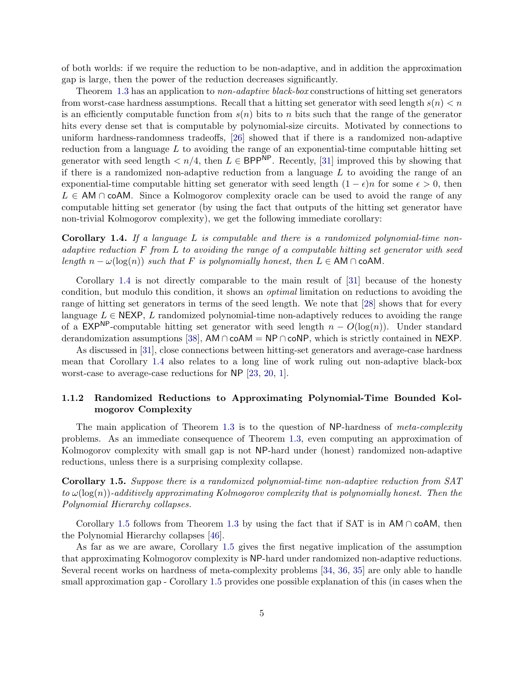of both worlds: if we require the reduction to be non-adaptive, and in addition the approximation gap is large, then the power of the reduction decreases significantly.

Theorem [1.3](#page-3-1) has an application to non-adaptive black-box constructions of hitting set generators from worst-case hardness assumptions. Recall that a hitting set generator with seed length  $s(n) < n$ is an efficiently computable function from  $s(n)$  bits to n bits such that the range of the generator hits every dense set that is computable by polynomial-size circuits. Motivated by connections to uniform hardness-randomness tradeoffs, [\[26\]](#page-29-5) showed that if there is a randomized non-adaptive reduction from a language  $L$  to avoiding the range of an exponential-time computable hitting set generator with seed length  $\lt n/4$ , then  $L \in \mathsf{BPP}^{\mathsf{NP}}$ . Recently, [\[31\]](#page-29-6) improved this by showing that if there is a randomized non-adaptive reduction from a language  $L$  to avoiding the range of an exponential-time computable hitting set generator with seed length  $(1 - \epsilon)n$  for some  $\epsilon > 0$ , then  $L \in AM \cap coAM$ . Since a Kolmogorov complexity oracle can be used to avoid the range of any computable hitting set generator (by using the fact that outputs of the hitting set generator have non-trivial Kolmogorov complexity), we get the following immediate corollary:

<span id="page-4-0"></span>**Corollary 1.4.** If a language L is computable and there is a randomized polynomial-time nonadaptive reduction  $F$  from  $L$  to avoiding the range of a computable hitting set generator with seed length  $n - \omega(\log(n))$  such that F is polynomially honest, then  $L \in AM \cap coAM$ .

Corollary [1.4](#page-4-0) is not directly comparable to the main result of [\[31\]](#page-29-6) because of the honesty condition, but modulo this condition, it shows an optimal limitation on reductions to avoiding the range of hitting set generators in terms of the seed length. We note that [\[28\]](#page-29-2) shows that for every language  $L \in \text{NEXP}, L$  randomized polynomial-time non-adaptively reduces to avoiding the range of a EXP<sup>NP</sup>-computable hitting set generator with seed length  $n - O(\log(n))$ . Under standard derandomization assumptions [\[38\]](#page-30-5), AM ∩ coAM = NP ∩ coNP, which is strictly contained in NEXP.

As discussed in [\[31\]](#page-29-6), close connections between hitting-set generators and average-case hardness mean that Corollary [1.4](#page-4-0) also relates to a long line of work ruling out non-adaptive black-box worst-case to average-case reductions for NP [\[23,](#page-28-4) [20,](#page-28-5) [1\]](#page-27-8).

### 1.1.2 Randomized Reductions to Approximating Polynomial-Time Bounded Kolmogorov Complexity

The main application of Theorem [1.3](#page-3-1) is to the question of NP-hardness of meta-complexity problems. As an immediate consequence of Theorem [1.3,](#page-3-1) even computing an approximation of Kolmogorov complexity with small gap is not NP-hard under (honest) randomized non-adaptive reductions, unless there is a surprising complexity collapse.

<span id="page-4-1"></span>Corollary 1.5. Suppose there is a randomized polynomial-time non-adaptive reduction from SAT to  $\omega(\log(n))$ -additively approximating Kolmogorov complexity that is polynomially honest. Then the Polynomial Hierarchy collapses.

Corollary [1.5](#page-4-1) follows from Theorem [1.3](#page-3-1) by using the fact that if SAT is in AM  $\cap$  coAM, then the Polynomial Hierarchy collapses [\[46\]](#page-30-6).

As far as we are aware, Corollary [1.5](#page-4-1) gives the first negative implication of the assumption that approximating Kolmogorov complexity is NP-hard under randomized non-adaptive reductions. Several recent works on hardness of meta-complexity problems [\[34,](#page-29-0) [36,](#page-29-1) [35\]](#page-29-7) are only able to handle small approximation gap - Corollary [1.5](#page-4-1) provides one possible explanation of this (in cases when the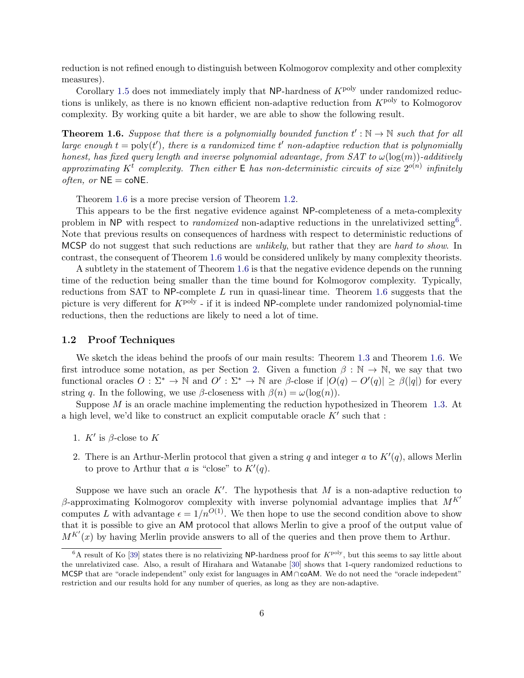reduction is not refined enough to distinguish between Kolmogorov complexity and other complexity measures).

Corollary [1.5](#page-4-1) does not immediately imply that NP-hardness of  $K<sup>poly</sup>$  under randomized reductions is unlikely, as there is no known efficient non-adaptive reduction from  $K^{\text{poly}}$  to Kolmogorov complexity. By working quite a bit harder, we are able to show the following result.

<span id="page-5-1"></span>**Theorem 1.6.** Suppose that there is a polynomially bounded function  $t': \mathbb{N} \to \mathbb{N}$  such that for all large enough  $t = \text{poly}(t')$ , there is a randomized time t' non-adaptive reduction that is polynomially honest, has fixed query length and inverse polynomial advantage, from  $SAT$  to  $\omega(\log(m))$ -additively approximating K<sup>t</sup> complexity. Then either  $E$  has non-deterministic circuits of size  $2^{o(n)}$  infinitely *often, or*  $NE = \text{co}NE$ .

Theorem [1.6](#page-5-1) is a more precise version of Theorem [1.2.](#page-2-0)

This appears to be the first negative evidence against NP-completeness of a meta-complexity problem in NP with respect to *randomized* non-adaptive reductions in the unrelativized setting<sup>[6](#page-5-2)</sup>. Note that previous results on consequences of hardness with respect to deterministic reductions of MCSP do not suggest that such reductions are *unlikely*, but rather that they are *hard to show*. In contrast, the consequent of Theorem [1.6](#page-5-1) would be considered unlikely by many complexity theorists.

A subtlety in the statement of Theorem [1.6](#page-5-1) is that the negative evidence depends on the running time of the reduction being smaller than the time bound for Kolmogorov complexity. Typically, reductions from SAT to NP-complete  $L$  run in quasi-linear time. Theorem [1.6](#page-5-1) suggests that the picture is very different for  $K^{\text{poly}}$  - if it is indeed NP-complete under randomized polynomial-time reductions, then the reductions are likely to need a lot of time.

### <span id="page-5-0"></span>1.2 Proof Techniques

We sketch the ideas behind the proofs of our main results: Theorem [1.3](#page-3-1) and Theorem [1.6.](#page-5-1) We first introduce some notation, as per Section [2.](#page-7-0) Given a function  $\beta : \mathbb{N} \to \mathbb{N}$ , we say that two functional oracles  $O: \Sigma^* \to \mathbb{N}$  and  $O' : \Sigma^* \to \mathbb{N}$  are  $\beta$ -close if  $|O(q) - O'(q)| \geq \beta(|q|)$  for every string q. In the following, we use β-closeness with  $\beta(n) = \omega(\log(n)).$ 

Suppose M is an oracle machine implementing the reduction hypothesized in Theorem [1.3.](#page-3-1) At a high level, we'd like to construct an explicit computable oracle  $K'$  such that :

- 1.  $K'$  is  $\beta$ -close to  $K$
- 2. There is an Arthur-Merlin protocol that given a string q and integer a to  $K'(q)$ , allows Merlin to prove to Arthur that a is "close" to  $K'(q)$ .

Suppose we have such an oracle  $K'$ . The hypothesis that M is a non-adaptive reduction to β-approximating Kolmogorov complexity with inverse polynomial advantage implies that  $M<sup>K'</sup>$ computes L with advantage  $\epsilon = 1/n^{O(1)}$ . We then hope to use the second condition above to show that it is possible to give an AM protocol that allows Merlin to give a proof of the output value of  $M^{K'}(x)$  by having Merlin provide answers to all of the queries and then prove them to Arthur.

<span id="page-5-2"></span> $6A$  result of Ko [\[39\]](#page-30-7) states there is no relativizing NP-hardness proof for  $K^{poly}$ , but this seems to say little about the unrelativized case. Also, a result of Hirahara and Watanabe [\[30\]](#page-29-8) shows that 1-query randomized reductions to MCSP that are "oracle independent" only exist for languages in AM∩coAM. We do not need the "oracle indepedent" restriction and our results hold for any number of queries, as long as they are non-adaptive.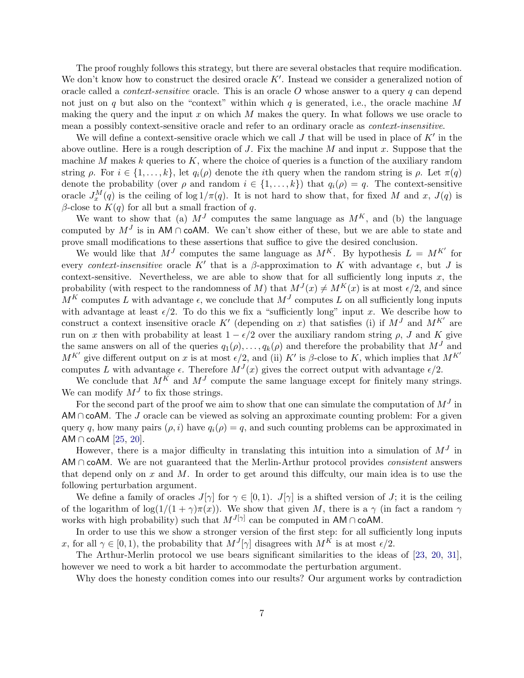The proof roughly follows this strategy, but there are several obstacles that require modification. We don't know how to construct the desired oracle  $K'$ . Instead we consider a generalized notion of oracle called a *context-sensitive* oracle. This is an oracle  $O$  whose answer to a query  $q$  can depend not just on q but also on the "context" within which q is generated, i.e., the oracle machine M making the query and the input x on which M makes the query. In what follows we use oracle to mean a possibly context-sensitive oracle and refer to an ordinary oracle as context-insensitive.

We will define a context-sensitive oracle which we call  $J$  that will be used in place of  $K'$  in the above outline. Here is a rough description of  $J$ . Fix the machine  $M$  and input x. Suppose that the machine M makes  $k$  queries to  $K$ , where the choice of queries is a function of the auxiliary random string  $\rho$ . For  $i \in \{1, \ldots, k\}$ , let  $q_i(\rho)$  denote the *i*th query when the random string is  $\rho$ . Let  $\pi(q)$ denote the probability (over  $\rho$  and random  $i \in \{1, \ldots, k\}$ ) that  $q_i(\rho) = q$ . The context-sensitive oracle  $J_x^M(q)$  is the ceiling of log  $1/\pi(q)$ . It is not hard to show that, for fixed M and x,  $J(q)$  is β-close to  $K(q)$  for all but a small fraction of q.

We want to show that (a)  $M<sup>J</sup>$  computes the same language as  $M<sup>K</sup>$ , and (b) the language computed by  $M<sup>J</sup>$  is in AM ∩ coAM. We can't show either of these, but we are able to state and prove small modifications to these assertions that suffice to give the desired conclusion.

We would like that  $M<sup>J</sup>$  computes the same language as  $M<sup>K</sup>$ . By hypothesis  $L = M<sup>K'</sup>$  for every context-insensitive oracle K' that is a β-approximation to K with advantage  $\epsilon$ , but J is context-sensitive. Nevertheless, we are able to show that for all sufficiently long inputs  $x$ , the probability (with respect to the randomness of M) that  $M^{J}(x) \neq M^{K}(x)$  is at most  $\epsilon/2$ , and since  $M^K$  computes L with advantage  $\epsilon$ , we conclude that  $M^J$  computes L on all sufficiently long inputs with advantage at least  $\epsilon/2$ . To do this we fix a "sufficiently long" input x. We describe how to construct a context insensitive oracle K' (depending on x) that satisfies (i) if  $M<sup>J</sup>$  and  $M<sup>K'</sup>$  are run on x then with probability at least  $1 - \epsilon/2$  over the auxiliary random string  $\rho$ , J and K give the same answers on all of the queries  $q_1(\rho), \ldots, q_k(\rho)$  and therefore the probability that  $M<sup>J</sup>$  and  $M^{K'}$  give different output on x is at most  $\epsilon/2$ , and (ii) K' is  $\beta$ -close to K, which implies that  $M^{K'}$ computes L with advantage  $\epsilon$ . Therefore  $M^{J}(x)$  gives the correct output with advantage  $\epsilon/2$ .

We conclude that  $M^K$  and  $M^J$  compute the same language except for finitely many strings. We can modify  $M<sup>J</sup>$  to fix those strings.

For the second part of the proof we aim to show that one can simulate the computation of  $M<sup>J</sup>$  in AM  $\cap$  coAM. The J oracle can be viewed as solving an approximate counting problem: For a given query q, how many pairs  $(\rho, i)$  have  $q_i(\rho) = q$ , and such counting problems can be approximated in AM  $\cap$  coAM  $[25, 20]$  $[25, 20]$  $[25, 20]$ .

However, there is a major difficulty in translating this intuition into a simulation of  $M<sup>J</sup>$  in AM  $\cap$  coAM. We are not guaranteed that the Merlin-Arthur protocol provides *consistent* answers that depend only on x and M. In order to get around this diffculty, our main idea is to use the following perturbation argument.

We define a family of oracles  $J[\gamma]$  for  $\gamma \in [0,1)$ .  $J[\gamma]$  is a shifted version of J; it is the ceiling of the logarithm of log( $1/(1 + \gamma)\pi(x)$ ). We show that given M, there is a  $\gamma$  (in fact a random  $\gamma$ works with high probability) such that  $M^{J[\gamma]}$  can be computed in AM ∩ coAM.

In order to use this we show a stronger version of the first step: for all sufficiently long inputs x, for all  $\gamma \in [0, 1)$ , the probability that  $M^{J}[\gamma]$  disagrees with  $M^{K}$  is at most  $\epsilon/2$ .

The Arthur-Merlin protocol we use bears significant similarities to the ideas of [\[23,](#page-28-4) [20,](#page-28-5) [31\]](#page-29-6), however we need to work a bit harder to accommodate the perturbation argument.

Why does the honesty condition comes into our results? Our argument works by contradiction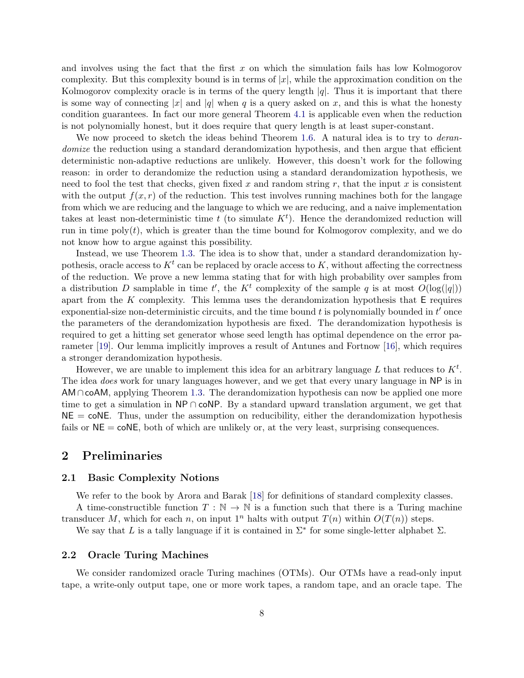and involves using the fact that the first  $x$  on which the simulation fails has low Kolmogorov complexity. But this complexity bound is in terms of  $|x|$ , while the approximation condition on the Kolmogorov complexity oracle is in terms of the query length  $|q|$ . Thus it is important that there is some way of connecting |x| and |q| when q is a query asked on x, and this is what the honesty condition guarantees. In fact our more general Theorem [4.1](#page-13-0) is applicable even when the reduction is not polynomially honest, but it does require that query length is at least super-constant.

We now proceed to sketch the ideas behind Theorem [1.6.](#page-5-1) A natural idea is to try to *deran*domize the reduction using a standard derandomization hypothesis, and then argue that efficient deterministic non-adaptive reductions are unlikely. However, this doesn't work for the following reason: in order to derandomize the reduction using a standard derandomization hypothesis, we need to fool the test that checks, given fixed x and random string r, that the input x is consistent with the output  $f(x, r)$  of the reduction. This test involves running machines both for the langage from which we are reducing and the language to which we are reducing, and a naive implementation takes at least non-deterministic time t (to simulate  $K<sup>t</sup>$ ). Hence the derandomized reduction will run in time  $poly(t)$ , which is greater than the time bound for Kolmogorov complexity, and we do not know how to argue against this possibility.

Instead, we use Theorem [1.3.](#page-3-1) The idea is to show that, under a standard derandomization hypothesis, oracle access to  $K<sup>t</sup>$  can be replaced by oracle access to K, without affecting the correctness of the reduction. We prove a new lemma stating that for with high probability over samples from a distribution D samplable in time t', the  $K^t$  complexity of the sample q is at most  $O(\log(|q|))$ apart from the K complexity. This lemma uses the derandomization hypothesis that  $E$  requires exponential-size non-deterministic circuits, and the time bound  $t$  is polynomially bounded in  $t'$  once the parameters of the derandomization hypothesis are fixed. The derandomization hypothesis is required to get a hitting set generator whose seed length has optimal dependence on the error parameter [\[19\]](#page-28-6). Our lemma implicitly improves a result of Antunes and Fortnow [\[16\]](#page-28-7), which requires a stronger derandomization hypothesis.

However, we are unable to implement this idea for an arbitrary language L that reduces to  $K^t$ . The idea *does* work for unary languages however, and we get that every unary language in NP is in  $AM \cap coAM$ , applying Theorem [1.3.](#page-3-1) The derandomization hypothesis can now be applied one more time to get a simulation in NP ∩ coNP. By a standard upward translation argument, we get that  $NE = \text{coNE}$ . Thus, under the assumption on reducibility, either the derandomization hypothesis fails or  $NE = \text{coNE}$ , both of which are unlikely or, at the very least, surprising consequences.

## <span id="page-7-0"></span>2 Preliminaries

### 2.1 Basic Complexity Notions

We refer to the book by Arora and Barak [\[18\]](#page-28-8) for definitions of standard complexity classes. A time-constructible function  $T : \mathbb{N} \to \mathbb{N}$  is a function such that there is a Turing machine

transducer M, which for each n, on input  $1^n$  halts with output  $T(n)$  within  $O(T(n))$  steps.

We say that L is a tally language if it is contained in  $\Sigma^*$  for some single-letter alphabet  $\Sigma$ .

### 2.2 Oracle Turing Machines

We consider randomized oracle Turing machines (OTMs). Our OTMs have a read-only input tape, a write-only output tape, one or more work tapes, a random tape, and an oracle tape. The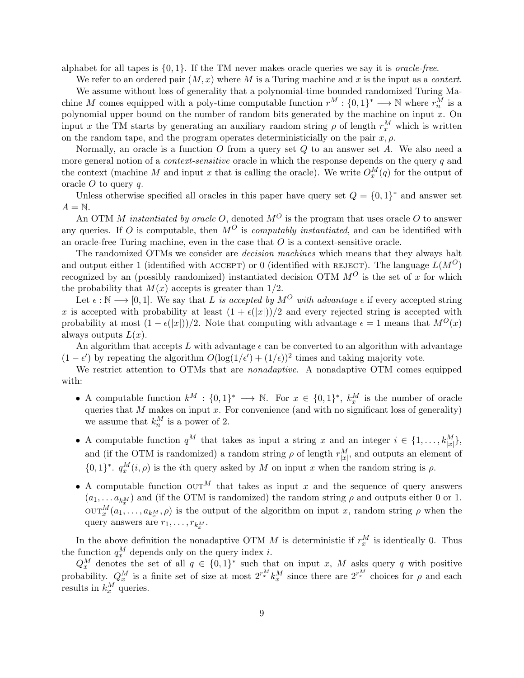alphabet for all tapes is  $\{0, 1\}$ . If the TM never makes oracle queries we say it is *oracle-free.* 

We refer to an ordered pair  $(M, x)$  where M is a Turing machine and x is the input as a *context*. We assume without loss of generality that a polynomial-time bounded randomized Turing Machine M comes equipped with a poly-time computable function  $r^M: \{0,1\}^* \longrightarrow \mathbb{N}$  where  $r_n^M$  is a polynomial upper bound on the number of random bits generated by the machine on input  $x$ . On input x the TM starts by generating an auxiliary random string  $\rho$  of length  $r_x^M$  which is written on the random tape, and the program operates deterministicially on the pair  $x, \rho$ .

Normally, an oracle is a function  $O$  from a query set  $Q$  to an answer set  $A$ . We also need a more general notion of a *context-sensitive* oracle in which the response depends on the query q and the context (machine M and input x that is calling the oracle). We write  $O_x^M(q)$  for the output of oracle  $O$  to query  $q$ .

Unless otherwise specified all oracles in this paper have query set  $Q = \{0,1\}^*$  and answer set  $A = N$ .

An OTM M instantiated by oracle O, denoted  $M^O$  is the program that uses oracle O to answer any queries. If O is computable, then  $M^O$  is *computably instantiated*, and can be identified with an oracle-free Turing machine, even in the case that  $O$  is a context-sensitive oracle.

The randomized OTMs we consider are decision machines which means that they always halt and output either 1 (identified with accept) or 0 (identified with REJECT). The language  $L(M^O)$ recognized by an (possibly randomized) instantiated decision OTM  $M^{O}$  is the set of x for which the probability that  $M(x)$  accepts is greater than 1/2.

Let  $\epsilon : \mathbb{N} \longrightarrow [0, 1]$ . We say that L is accepted by  $M^O$  with advantage  $\epsilon$  if every accepted string x is accepted with probability at least  $(1 + \epsilon(|x|))/2$  and every rejected string is accepted with probability at most  $(1 - \epsilon(|x|))/2$ . Note that computing with advantage  $\epsilon = 1$  means that  $M^{O}(x)$ always outputs  $L(x)$ .

An algorithm that accepts L with advantage  $\epsilon$  can be converted to an algorithm with advantage  $(1 - \epsilon')$  by repeating the algorithm  $O(\log(1/\epsilon') + (1/\epsilon))^2$  times and taking majority vote.

We restrict attention to OTMs that are *nonadaptive*. A nonadaptive OTM comes equipped with:

- A computable function  $k^M : \{0,1\}^* \longrightarrow \mathbb{N}$ . For  $x \in \{0,1\}^*$ ,  $k_x^M$  is the number of oracle queries that  $M$  makes on input  $x$ . For convenience (and with no significant loss of generality) we assume that  $k_n^M$  is a power of 2.
- A computable function  $q^M$  that takes as input a string x and an integer  $i \in \{1, \ldots, k_{|x|}^M\}$ , and (if the OTM is randomized) a random string  $\rho$  of length  $r_{|x|}^M$ , and outputs an element of  $\{0,1\}^*$ .  $q_x^M(i,\rho)$  is the *i*th query asked by M on input x when the random string is  $\rho$ .
- A computable function  $\text{OUT}^M$  that takes as input x and the sequence of query answers  $(a_1, \ldots, a_{k_x^M})$  and (if the OTM is randomized) the random string  $\rho$  and outputs either 0 or 1.  $\mathrm{OUT}_{x}^{M}(a_1, \ldots, a_{k_x^M}, \rho)$  is the output of the algorithm on input x, random string  $\rho$  when the query answers are  $r_1, \ldots, r_{k_x^M}$ .

In the above definition the nonadaptive OTM M is deterministic if  $r_x^M$  is identically 0. Thus the function  $q_x^M$  depends only on the query index *i*.

 $Q_x^M$  denotes the set of all  $q \in \{0,1\}^*$  such that on input x, M asks query q with positive probability.  $Q_x^M$  is a finite set of size at most  $2^{r_x^M} k_x^M$  since there are  $2^{r_x^M}$  choices for  $\rho$  and each results in  $k_x^M$  queries.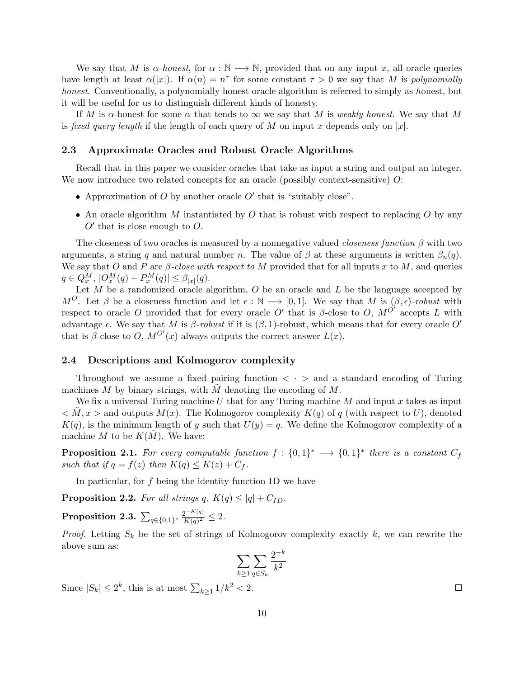We say that M is  $\alpha$ -honest, for  $\alpha : \mathbb{N} \longrightarrow \mathbb{N}$ , provided that on any input x, all oracle queries have length at least  $\alpha(|x|)$ . If  $\alpha(n) = n^{\tau}$  for some constant  $\tau > 0$  we say that M is polynomially honest. Conventionally, a polynomially honest oracle algorithm is referred to simply as honest, but it will be useful for us to distinguish different kinds of honesty.

If M is  $\alpha$ -honest for some  $\alpha$  that tends to  $\infty$  we say that M is weakly honest. We say that M is fixed query length if the length of each query of M on input x depends only on  $|x|$ .

### 2.3 Approximate Oracles and Robust Oracle Algorithms

Recall that in this paper we consider oracles that take as input a string and output an integer. We now introduce two related concepts for an oracle (possibly context-sensitive) O:

- Approximation of  $O$  by another oracle  $O'$  that is "suitably close".
- An oracle algorithm M instantiated by O that is robust with respect to replacing O by any  $O'$  that is close enough to  $O$ .

The closeness of two oracles is measured by a nonnegative valued *closeness function*  $\beta$  with two arguments, a string q and natural number n. The value of  $\beta$  at these arguments is written  $\beta_n(q)$ . We say that O and P are  $\beta$ -close with respect to M provided that for all inputs x to M, and queries  $q \in Q_x^M$ ,  $|O_x^M(q) - P_x^M(q)| \leq \beta_{|x|}(q)$ .

Let  $M$  be a randomized oracle algorithm,  $O$  be an oracle and  $L$  be the language accepted by M<sup>O</sup>. Let  $\beta$  be a closeness function and let  $\epsilon : \mathbb{N} \longrightarrow [0,1]$ . We say that M is  $(\beta, \epsilon)$ -robust with respect to oracle O provided that for every oracle O' that is  $\beta$ -close to O,  $M^{O'}$  accepts L with advantage  $\epsilon$ . We say that M is  $\beta$ -robust if it is  $(\beta, 1)$ -robust, which means that for every oracle O' that is  $\beta$ -close to O,  $M^{O'}(x)$  always outputs the correct answer  $L(x)$ .

### 2.4 Descriptions and Kolmogorov complexity

Throughout we assume a fixed pairing function  $\langle \cdot \rangle$  and a standard encoding of Turing machines  $M$  by binary strings, with  $M$  denoting the encoding of  $M$ .

We fix a universal Turing machine U that for any Turing machine M and input x takes as input  $\langle M, x \rangle$  and outputs  $M(x)$ . The Kolmogorov complexity  $K(q)$  of q (with respect to U), denoted  $K(q)$ , is the minimum length of y such that  $U(y) = q$ . We define the Kolmogorov complexity of a machine M to be  $K(M)$ . We have:

**Proposition 2.1.** For every computable function  $f: \{0,1\}^* \longrightarrow \{0,1\}^*$  there is a constant  $C_f$ such that if  $q = f(z)$  then  $K(q) \leq K(z) + C_f$ .

In particular, for  $f$  being the identity function ID we have

**Proposition 2.2.** For all strings q,  $K(q) \leq |q| + C_{ID}$ .

<span id="page-9-0"></span> $\textbf{Proposition 2.3.}~\sum_{q\in\{0,1\}^*}\frac{2^{-K(q)}}{K(q)^2}$  $\frac{2^{-K(q)}}{K(q)^2} \leq 2.$ 

*Proof.* Letting  $S_k$  be the set of strings of Kolmogorov complexity exactly k, we can rewrite the above sum as:

$$
\sum_{k\geq 1}\sum_{q\in S_k}\frac{2^{-k}}{k^2}
$$

Since  $|S_k| \leq 2^k$ , this is at most  $\sum_{k \geq 1} 1/k^2 < 2$ .

 $\Box$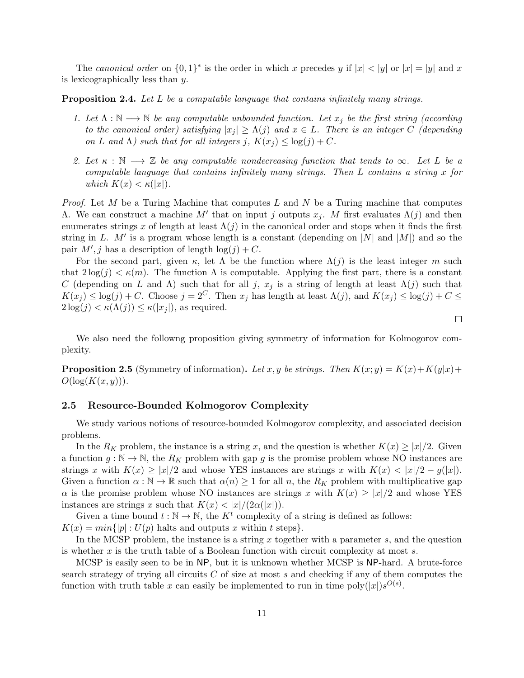The canonical order on  $\{0,1\}^*$  is the order in which x precedes y if  $|x| < |y|$  or  $|x| = |y|$  and x is lexicographically less than y.

<span id="page-10-0"></span>**Proposition 2.4.** Let L be a computable language that contains infinitely many strings.

- 1. Let  $\Lambda : \mathbb{N} \longrightarrow \mathbb{N}$  be any computable unbounded function. Let  $x_i$  be the first string (according to the canonical order) satisfying  $|x_i| \geq \Lambda(j)$  and  $x \in L$ . There is an integer C (depending on L and  $\Lambda$ ) such that for all integers j,  $K(x_i) \leq \log(j) + C$ .
- 2. Let  $\kappa : \mathbb{N} \longrightarrow \mathbb{Z}$  be any computable nondecreasing function that tends to  $\infty$ . Let L be a computable language that contains infinitely many strings. Then L contains a string x for which  $K(x) < \kappa(|x|)$ .

*Proof.* Let M be a Turing Machine that computes L and N be a Turing machine that computes Λ. We can construct a machine M' that on input j outputs  $x_j$ . M first evaluates  $Λ(j)$  and then enumerates strings x of length at least  $\Lambda(j)$  in the canonical order and stops when it finds the first string in L. M' is a program whose length is a constant (depending on |N| and |M|) and so the pair  $M', j$  has a description of length  $log(j) + C$ .

For the second part, given  $\kappa$ , let  $\Lambda$  be the function where  $\Lambda(j)$  is the least integer m such that  $2\log(j) < \kappa(m)$ . The function  $\Lambda$  is computable. Applying the first part, there is a constant C (depending on L and  $\Lambda$ ) such that for all j,  $x_j$  is a string of length at least  $\Lambda(j)$  such that  $K(x_j) \leq \log(j) + C$ . Choose  $j = 2^C$ . Then  $x_j$  has length at least  $\Lambda(j)$ , and  $K(x_j) \leq \log(j) + C \leq$  $2\log(j) < \kappa(\Lambda(j)) \leq \kappa(|x_j|)$ , as required.

 $\Box$ 

We also need the followng proposition giving symmetry of information for Kolmogorov complexity.

<span id="page-10-1"></span>**Proposition 2.5** (Symmetry of information). Let x, y be strings. Then  $K(x; y) = K(x) + K(y|x) +$  $O(\log(K(x, y))).$ 

### 2.5 Resource-Bounded Kolmogorov Complexity

We study various notions of resource-bounded Kolmogorov complexity, and associated decision problems.

In the  $R_K$  problem, the instance is a string x, and the question is whether  $K(x) \geq |x|/2$ . Given a function  $g : \mathbb{N} \to \mathbb{N}$ , the  $R_K$  problem with gap g is the promise problem whose NO instances are strings x with  $K(x) \ge |x|/2$  and whose YES instances are strings x with  $K(x) < |x|/2 - g(|x|)$ . Given a function  $\alpha : \mathbb{N} \to \mathbb{R}$  such that  $\alpha(n) \geq 1$  for all n, the  $R_K$  problem with multiplicative gap  $\alpha$  is the promise problem whose NO instances are strings x with  $K(x) \geq |x|/2$  and whose YES instances are strings x such that  $K(x) < |x|/(2\alpha(|x|)).$ 

Given a time bound  $t : \mathbb{N} \to \mathbb{N}$ , the  $K^t$  complexity of a string is defined as follows:  $K(x) = min\{|p| : U(p)$  halts and outputs x within t steps.

In the MCSP problem, the instance is a string x together with a parameter  $s$ , and the question is whether  $x$  is the truth table of a Boolean function with circuit complexity at most  $s$ .

MCSP is easily seen to be in NP, but it is unknown whether MCSP is NP-hard. A brute-force search strategy of trying all circuits  $C$  of size at most  $s$  and checking if any of them computes the function with truth table x can easily be implemented to run in time  $\text{poly}(|x|)s^{O(s)}$ .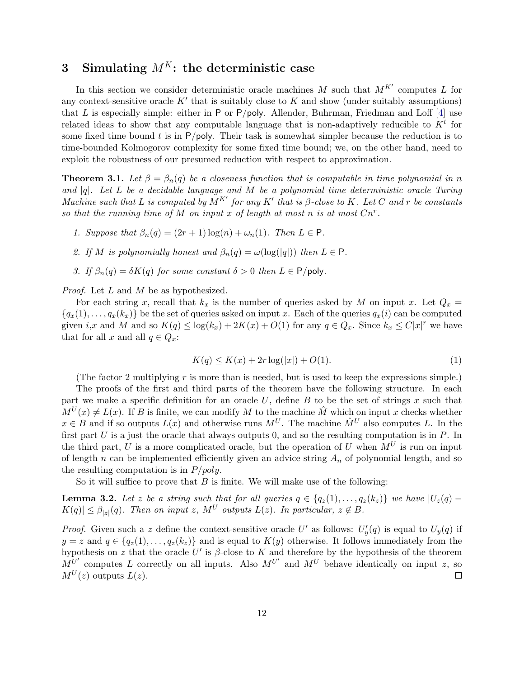# 3 Simulating  $M^K$ : the deterministic case

In this section we consider deterministic oracle machines M such that  $M^{K'}$  computes L for any context-sensitive oracle  $K'$  that is suitably close to  $K$  and show (under suitably assumptions) that L is especially simple: either in P or P/poly. Allender, Buhrman, Friedman and Loff  $[4]$  use related ideas to show that any computable language that is non-adaptively reducible to  $K<sup>t</sup>$  for some fixed time bound  $t$  is in  $P/poly$ . Their task is somewhat simpler because the reduction is to time-bounded Kolmogorov complexity for some fixed time bound; we, on the other hand, need to exploit the robustness of our presumed reduction with respect to approximation.

**Theorem 3.1.** Let  $\beta = \beta_n(q)$  be a closeness function that is computable in time polynomial in n and  $|q|$ . Let L be a decidable language and M be a polynomial time deterministic oracle Turing Machine such that L is computed by  $M^{K'}$  for any K' that is  $\beta$ -close to K. Let C and r be constants so that the running time of M on input x of length at most n is at most  $Cn^r$ .

- 1. Suppose that  $\beta_n(q) = (2r+1) \log(n) + \omega_n(1)$ . Then  $L \in \mathsf{P}$ .
- 2. If M is polynomially honest and  $\beta_n(q) = \omega(\log(|q|))$  then  $L \in \mathsf{P}$ .
- 3. If  $\beta_n(q) = \delta K(q)$  for some constant  $\delta > 0$  then  $L \in P$ /poly.

Proof. Let L and M be as hypothesized.

For each string x, recall that  $k_x$  is the number of queries asked by M on input x. Let  $Q_x =$  ${q_x(1), \ldots, q_x(k_x)}$  be the set of queries asked on input x. Each of the queries  $q_x(i)$  can be computed given *i*,x and M and so  $K(q) \le \log(k_x) + 2K(x) + O(1)$  for any  $q \in Q_x$ . Since  $k_x \le C|x|^r$  we have that for all x and all  $q \in Q_x$ :

<span id="page-11-1"></span>
$$
K(q) \le K(x) + 2r \log(|x|) + O(1). \tag{1}
$$

(The factor 2 multiplying  $r$  is more than is needed, but is used to keep the expressions simple.)

The proofs of the first and third parts of the theorem have the following structure. In each part we make a specific definition for an oracle  $U$ , define  $B$  to be the set of strings  $x$  such that  $M^{U}(x) \neq L(x)$ . If B is finite, we can modify M to the machine  $\hat{M}$  which on input x checks whether  $x \in B$  and if so outputs  $L(x)$  and otherwise runs  $M^U$ . The machine  $\hat{M}^U$  also computes L. In the first part  $U$  is a just the oracle that always outputs 0, and so the resulting computation is in  $P$ . In the third part, U is a more complicated oracle, but the operation of U when  $M^U$  is run on input of length n can be implemented efficiently given an advice string  $A_n$  of polynomial length, and so the resulting computation is in  $P/poly$ .

So it will suffice to prove that  $B$  is finite. We will make use of the following:

<span id="page-11-0"></span>**Lemma 3.2.** Let z be a string such that for all queries  $q \in \{q_z(1), \ldots, q_z(k_z)\}\$  we have  $|U_z(q) |K(q)| \leq \beta_{|z|}(q)$ . Then on input z,  $M^U$  outputs  $L(z)$ . In particular,  $z \notin B$ .

*Proof.* Given such a z define the context-sensitive oracle U' as follows:  $U'_y(q)$  is equal to  $U_y(q)$  if  $y = z$  and  $q \in \{q_z(1), \ldots, q_z(k_z)\}\$  and is equal to  $K(y)$  otherwise. It follows immediately from the hypothesis on z that the oracle U' is  $\beta$ -close to K and therefore by the hypothesis of the theorem  $M^{U'}$  computes L correctly on all inputs. Also  $M^{U'}$  and  $M^{U}$  behave identically on input z, so  $M^{U}(z)$  outputs  $L(z)$ .  $\Box$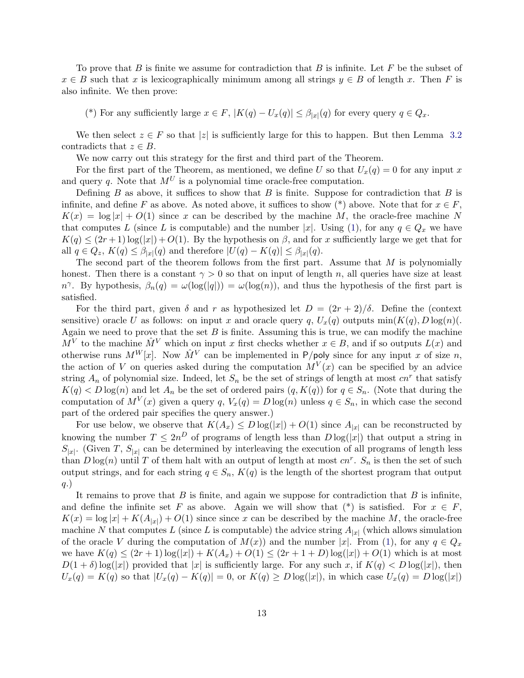To prove that B is finite we assume for contradiction that B is infinite. Let F be the subset of  $x \in B$  such that x is lexicographically minimum among all strings  $y \in B$  of length x. Then F is also infinite. We then prove:

(\*) For any sufficiently large  $x \in F$ ,  $|K(q) - U_x(q)| \leq \beta_{|x|}(q)$  for every query  $q \in Q_x$ .

We then select  $z \in F$  so that |z| is sufficiently large for this to happen. But then Lemma [3.2](#page-11-0) contradicts that  $z \in B$ .

We now carry out this strategy for the first and third part of the Theorem.

For the first part of the Theorem, as mentioned, we define U so that  $U_x(q) = 0$  for any input x and query q. Note that  $M^U$  is a polynomial time oracle-free computation.

Defining  $B$  as above, it suffices to show that  $B$  is finite. Suppose for contradiction that  $B$  is infinite, and define F as above. As noted above, it suffices to show (\*) above. Note that for  $x \in F$ ,  $K(x) = \log |x| + O(1)$  since x can be described by the machine M, the oracle-free machine N that computes L (since L is computable) and the number |x|. Using [\(1\)](#page-11-1), for any  $q \in Q_x$  we have  $K(q) \leq (2r+1) \log(|x|) + O(1)$ . By the hypothesis on  $\beta$ , and for x sufficiently large we get that for all  $q \in Q_z$ ,  $K(q) \leq \beta_{|x|}(q)$  and therefore  $|U(q) - K(q)| \leq \beta_{|x|}(q)$ .

The second part of the theorem follows from the first part. Assume that  $M$  is polynomially honest. Then there is a constant  $\gamma > 0$  so that on input of length n, all queries have size at least n<sup> $\gamma$ </sup>. By hypothesis,  $\beta_n(q) = \omega(\log(|q|)) = \omega(\log(n))$ , and thus the hypothesis of the first part is satisfied.

For the third part, given  $\delta$  and r as hypothesized let  $D = (2r + 2)/\delta$ . Define the (context sensitive) oracle U as follows: on input x and oracle query q,  $U_x(q)$  outputs  $\min(K(q), D \log(n))$ . Again we need to prove that the set  $B$  is finite. Assuming this is true, we can modify the machine  $\overline{M}^V$  to the machine  $\hat{M}^V$  which on input x first checks whether  $x \in B$ , and if so outputs  $L(x)$  and otherwise runs  $M^W[x]$ . Now  $\hat{M}^V$  can be implemented in P/poly since for any input x of size n, the action of V on queries asked during the computation  $M^{V}(x)$  can be specified by an advice string  $A_n$  of polynomial size. Indeed, let  $S_n$  be the set of strings of length at most  $cn^r$  that satisfy  $K(q) < D \log(n)$  and let  $A_n$  be the set of ordered pairs  $(q, K(q))$  for  $q \in S_n$ . (Note that during the computation of  $M^V(x)$  given a query q,  $V_x(q) = D \log(n)$  unless  $q \in S_n$ , in which case the second part of the ordered pair specifies the query answer.)

For use below, we observe that  $K(A_x) \leq D \log(|x|) + O(1)$  since  $A_{|x|}$  can be reconstructed by knowing the number  $T \n\t\leq 2n^D$  of programs of length less than  $D \log(|x|)$  that output a string in  $S_{|x|}$ . (Given T,  $S_{|x|}$  can be determined by interleaving the execution of all programs of length less than  $D \log(n)$  until T of them halt with an output of length at most  $cn^r$ .  $S_n$  is then the set of such output strings, and for each string  $q \in S_n$ ,  $K(q)$  is the length of the shortest program that output q.)

It remains to prove that  $B$  is finite, and again we suppose for contradiction that  $B$  is infinite, and define the infinite set F as above. Again we will show that (\*) is satisfied. For  $x \in F$ ,  $K(x) = \log |x| + K(A_{|x|}) + O(1)$  since since x can be described by the machine M, the oracle-free machine N that computes L (since L is computable) the advice string  $A_{|x|}$  (which allows simulation of the oracle V during the computation of  $M(x)$  and the number |x|. From [\(1\)](#page-11-1), for any  $q \in Q_x$ we have  $K(q) \leq (2r+1) \log(|x|) + K(A_x) + O(1) \leq (2r+1+D) \log(|x|) + O(1)$  which is at most  $D(1 + \delta) \log(|x|)$  provided that |x| is sufficiently large. For any such x, if  $K(q) < D \log(|x|)$ , then  $U_x(q) = K(q)$  so that  $|U_x(q) - K(q)| = 0$ , or  $K(q) \geq D \log(|x|)$ , in which case  $U_x(q) = D \log(|x|)$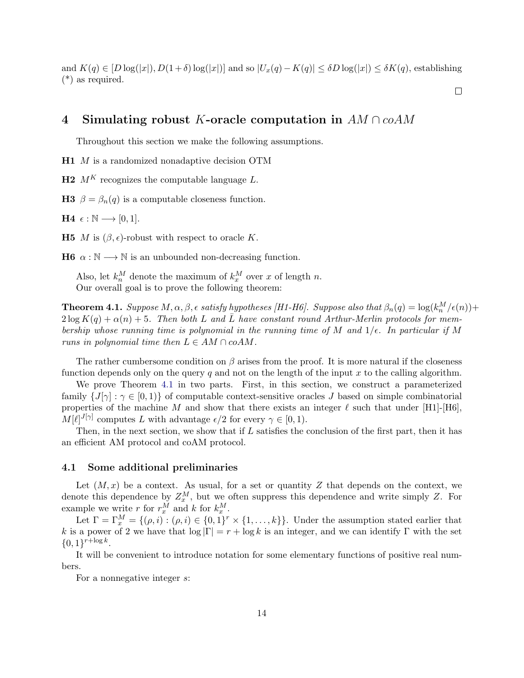and  $K(q) \in [D \log(|x|), D(1+\delta) \log(|x|)]$  and so  $|U_x(q) - K(q)| \leq \delta D \log(|x|) \leq \delta K(q)$ , establishing (\*) as required.

 $\Box$ 

## 4 Simulating robust K-oracle computation in  $AM \cap coAM$

Throughout this section we make the following assumptions.

H1 M is a randomized nonadaptive decision OTM

 $H2$  M<sup>K</sup> recognizes the computable language L.

**H3**  $\beta = \beta_n(q)$  is a computable closeness function.

**H4**  $\epsilon$  : N → [0, 1].

**H5** *M* is  $(\beta, \epsilon)$ -robust with respect to oracle K.

**H6**  $\alpha : \mathbb{N} \longrightarrow \mathbb{N}$  is an unbounded non-decreasing function.

Also, let  $k_n^M$  denote the maximum of  $k_x^M$  over x of length n. Our overall goal is to prove the following theorem:

<span id="page-13-0"></span>**Theorem 4.1.** Suppose  $M, \alpha, \beta, \epsilon$  satisfy hypotheses [H1-H6]. Suppose also that  $\beta_n(q) = \log(k_n^M/\epsilon(n))$ +  $2 \log K(q) + \alpha(n) + 5$ . Then both L and  $\overline{L}$  have constant round Arthur-Merlin protocols for membership whose running time is polynomial in the running time of M and  $1/\epsilon$ . In particular if M runs in polynomial time then  $L \in AM \cap coAM$ .

The rather cumbersome condition on  $\beta$  arises from the proof. It is more natural if the closeness function depends only on the query  $q$  and not on the length of the input  $x$  to the calling algorithm.

We prove Theorem [4.1](#page-13-0) in two parts. First, in this section, we construct a parameterized family  $\{J[\gamma]: \gamma \in [0,1)\}\$  of computable context-sensitive oracles J based on simple combinatorial properties of the machine M and show that there exists an integer  $\ell$  such that under [H1]-[H6].  $M[\ell]^{J[\gamma]}$  computes L with advantage  $\epsilon/2$  for every  $\gamma \in [0, 1)$ .

Then, in the next section, we show that if L satisfies the conclusion of the first part, then it has an efficient AM protocol and coAM protocol.

#### 4.1 Some additional preliminaries

Let  $(M, x)$  be a context. As usual, for a set or quantity Z that depends on the context, we denote this dependence by  $Z_x^M$ , but we often suppress this dependence and write simply Z. For example we write r for  $r_x^M$  and k for  $k_x^M$ .

Let  $\Gamma = \Gamma_x^M = \{(\rho, i) : (\rho, i) \in \{0, 1\}^r \times \{1, ..., k\}\}\.$  Under the assumption stated earlier that k is a power of 2 we have that  $\log |\Gamma| = r + \log k$  is an integer, and we can identify  $\Gamma$  with the set  $\{0,1\}^{r+\log k}.$ 

It will be convenient to introduce notation for some elementary functions of positive real numbers.

For a nonnegative integer s: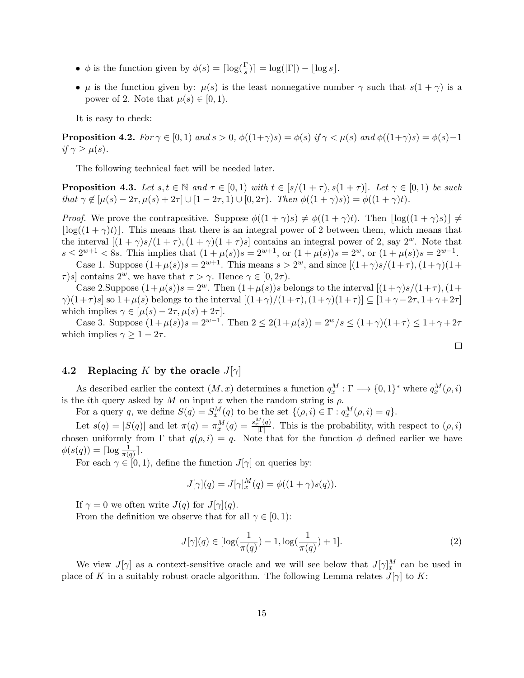- $\phi$  is the function given by  $\phi(s) = \lceil \log(\frac{\Gamma}{s}) \rceil = \log(|\Gamma|) \lfloor \log s \rfloor$ .
- $\mu$  is the function given by:  $\mu(s)$  is the least nonnegative number  $\gamma$  such that  $s(1 + \gamma)$  is a power of 2. Note that  $\mu(s) \in [0,1)$ .

It is easy to check:

**Proposition 4.2.** For  $\gamma \in [0,1)$  and  $s > 0$ ,  $\phi((1+\gamma)s) = \phi(s)$  if  $\gamma < \mu(s)$  and  $\phi((1+\gamma)s) = \phi(s) - 1$ if  $\gamma \geq \mu(s)$ .

The following technical fact will be needed later.

<span id="page-14-1"></span>**Proposition 4.3.** Let  $s, t \in \mathbb{N}$  and  $\tau \in [0, 1)$  with  $t \in [s/(1 + \tau), s(1 + \tau)]$ . Let  $\gamma \in [0, 1)$  be such that  $\gamma \notin [\mu(s) - 2\tau, \mu(s) + 2\tau] \cup [1 - 2\tau, 1] \cup [0, 2\tau)$ . Then  $\phi((1 + \gamma)s)) = \phi((1 + \gamma)t)$ .

*Proof.* We prove the contrapositive. Suppose  $\phi((1 + \gamma)s) \neq \phi((1 + \gamma)t)$ . Then  $|\log((1 + \gamma)s)| \neq \phi$  $|\log((1 + \gamma)t)|$ . This means that there is an integral power of 2 between them, which means that the interval  $[(1 + \gamma)s/(1 + \tau), (1 + \gamma)(1 + \tau)s]$  contains an integral power of 2, say  $2^w$ . Note that  $s \le 2^{w+1} < 8s$ . This implies that  $(1 + \mu(s))s = 2^{w+1}$ , or  $(1 + \mu(s))s = 2^w$ , or  $(1 + \mu(s))s = 2^{w-1}$ .

Case 1. Suppose  $(1 + \mu(s))s = 2^{w+1}$ . This means  $s > 2^w$ , and since  $[(1 + \gamma)s/(1 + \tau), (1 + \gamma)(1 +$  $\tau$ )s] contains  $2^w$ , we have that  $\tau > \gamma$ . Hence  $\gamma \in [0, 2\tau)$ .

Case 2.Suppose  $(1+\mu(s))s = 2^w$ . Then  $(1+\mu(s))s$  belongs to the interval  $[(1+\gamma)s/(1+\tau), (1+\tau)]$  $\gamma$ )(1+ $\tau$ )s] so 1+ $\mu$ (s) belongs to the interval  $[(1+\gamma)/(1+\tau), (1+\gamma)(1+\tau)] \subseteq [1+\gamma-2\tau, 1+\gamma+2\tau]$ which implies  $\gamma \in [\mu(s) - 2\tau, \mu(s) + 2\tau].$ 

Case 3. Suppose  $(1 + \mu(s))s = 2^{w-1}$ . Then  $2 \leq 2(1 + \mu(s)) = 2^{w}/s \leq (1 + \gamma)(1 + \tau) \leq 1 + \gamma + 2\tau$ which implies  $\gamma \geq 1 - 2\tau$ .

### 4.2 Replacing K by the oracle  $J[\gamma]$

As described earlier the context  $(M, x)$  determines a function  $q_x^M : \Gamma \longrightarrow \{0, 1\}^*$  where  $q_x^M(\rho, i)$ is the *i*th query asked by M on input x when the random string is  $\rho$ .

For a query q, we define  $S(q) = S_x^M(q)$  to be the set  $\{(\rho, i) \in \Gamma : q_x^M(\rho, i) = q\}.$ 

Let  $s(q) = |S(q)|$  and let  $\pi(q) = \pi_x^M(q) = \frac{s_x^M(q)}{|\Gamma|}$ . This is the probability, with respect to  $(\rho, i)$ chosen uniformly from Γ that  $q(\rho, i) = q$ . Note that for the function  $\phi$  defined earlier we have  $\phi(s(q)) = \lceil \log \frac{1}{\pi(q)} \rceil.$ 

For each  $\gamma \in [0, 1)$ , define the function  $J[\gamma]$  on queries by:

$$
J[\gamma](q) = J[\gamma]_x^M(q) = \phi((1+\gamma)s(q)).
$$

If  $\gamma = 0$  we often write  $J(q)$  for  $J[\gamma](q)$ .

From the definition we observe that for all  $\gamma \in [0,1)$ :

<span id="page-14-0"></span>
$$
J[\gamma](q) \in [\log(\frac{1}{\pi(q)}) - 1, \log(\frac{1}{\pi(q)}) + 1].
$$
 (2)

 $\Box$ 

We view  $J[\gamma]$  as a context-sensitive oracle and we will see below that  $J[\gamma]_x^M$  can be used in place of K in a suitably robust oracle algorithm. The following Lemma relates  $J[\gamma]$  to K: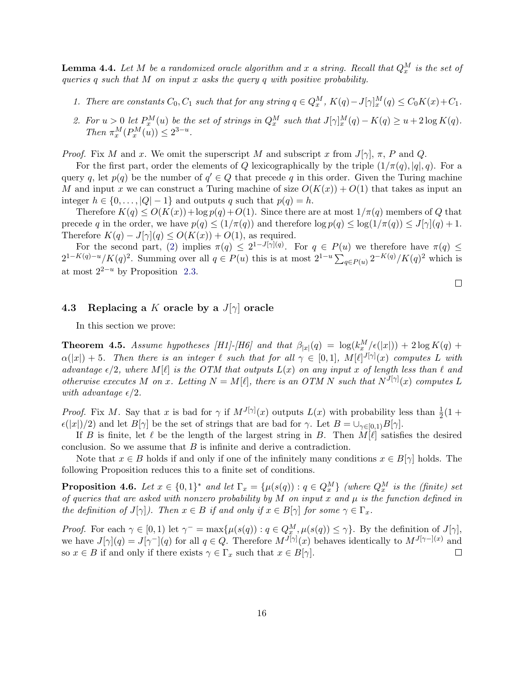<span id="page-15-0"></span>**Lemma 4.4.** Let M be a randomized oracle algorithm and x a string. Recall that  $Q_x^M$  is the set of queries q such that  $M$  on input  $x$  asks the query  $q$  with positive probability.

- 1. There are constants  $C_0$ ,  $C_1$  such that for any string  $q \in Q_x^M$ ,  $K(q) J[\gamma]_x^M(q) \leq C_0K(x) + C_1$ .
- 2. For  $u > 0$  let  $P_x^M(u)$  be the set of strings in  $Q_x^M$  such that  $J[\gamma]_x^M(q) K(q) \ge u + 2 \log K(q)$ . Then  $\pi_x^M(P_x^M(u)) \leq 2^{3-u}$ .

*Proof.* Fix M and x. We omit the superscript M and subscript x from  $J[\gamma], \pi, P$  and Q.

For the first part, order the elements of Q lexicographically by the triple  $(1/\pi(q), |q|, q)$ . For a query q, let  $p(q)$  be the number of  $q' \in Q$  that precede q in this order. Given the Turing machine M and input x we can construct a Turing machine of size  $O(K(x)) + O(1)$  that takes as input an integer  $h \in \{0, \ldots, |Q|-1\}$  and outputs q such that  $p(q) = h$ .

Therefore  $K(q) \le O(K(x)) + \log p(q) + O(1)$ . Since there are at most  $1/\pi(q)$  members of Q that precede q in the order, we have  $p(q) \leq (1/\pi(q))$  and therefore  $\log p(q) \leq \log(1/\pi(q)) \leq J[\gamma](q) + 1$ . Therefore  $K(q) - J[\gamma](q) \le O(K(x)) + O(1)$ , as required.

For the second part, [\(2\)](#page-14-0) implies  $\pi(q) \leq 2^{1-J[\gamma](q)}$ . For  $q \in P(u)$  we therefore have  $\pi(q) \leq$  $2^{1-K(q)-u}/K(q)^2$ . Summing over all  $q \in P(u)$  this is at most  $2^{1-u} \sum_{q \in P(u)} 2^{-K(q)}/K(q)^2$  which is at most  $2^{2-u}$  by Proposition [2.3.](#page-9-0)

### 4.3 Replacing a K oracle by a  $J[\gamma]$  oracle

In this section we prove:

<span id="page-15-1"></span>**Theorem 4.5.** Assume hypotheses [H1]-[H6] and that  $\beta_{|x|}(q) = \log(k_x^M/\epsilon(|x|)) + 2 \log K(q) +$  $\alpha(|x|) + 5$ . Then there is an integer  $\ell$  such that for all  $\gamma \in [0,1]$ ,  $M[\ell]^{J[\gamma]}(x)$  computes L with advantage  $\epsilon/2$ , where  $M[\ell]$  is the OTM that outputs  $L(x)$  on any input x of length less than  $\ell$  and otherwise executes M on x. Letting  $N = M[\ell]$ , there is an OTM N such that  $N^{J[\gamma]}(x)$  computes L with advantage  $\epsilon/2$ .

*Proof.* Fix M. Say that x is bad for  $\gamma$  if  $M^{J[\gamma]}(x)$  outputs  $L(x)$  with probability less than  $\frac{1}{2}(1 +$  $\epsilon(|x|)/2$ ) and let  $B[\gamma]$  be the set of strings that are bad for  $\gamma$ . Let  $B = \bigcup_{\gamma \in [0,1)} B[\gamma]$ .

If B is finite, let  $\ell$  be the length of the largest string in B. Then  $M[\ell]$  satisfies the desired conclusion. So we assume that  $B$  is infinite and derive a contradiction.

Note that  $x \in B$  holds if and only if one of the infinitely many conditions  $x \in B[\gamma]$  holds. The following Proposition reduces this to a finite set of conditions.

**Proposition 4.6.** Let  $x \in \{0,1\}^*$  and let  $\Gamma_x = \{\mu(s(q)) : q \in Q_x^M\}$  (where  $Q_x^M$  is the (finite) set of queries that are asked with nonzero probability by  $M$  on input  $x$  and  $\mu$  is the function defined in the definition of  $J[\gamma]$ ). Then  $x \in B$  if and only if  $x \in B[\gamma]$  for some  $\gamma \in \Gamma_x$ .

*Proof.* For each  $\gamma \in [0,1)$  let  $\gamma^{-} = \max{\{\mu(s(q)) : q \in Q_{x}^{M}, \mu(s(q)) \leq \gamma\}}$ . By the definition of  $J[\gamma]$ , we have  $J[\gamma](q) = J[\gamma^{-1}(q)$  for all  $q \in Q$ . Therefore  $M^{J[\gamma]}(x)$  behaves identically to  $M^{J[\gamma-](x)}$  and so  $x \in B$  if and only if there exists  $\gamma \in \Gamma_x$  such that  $x \in B[\gamma]$ .  $\Box$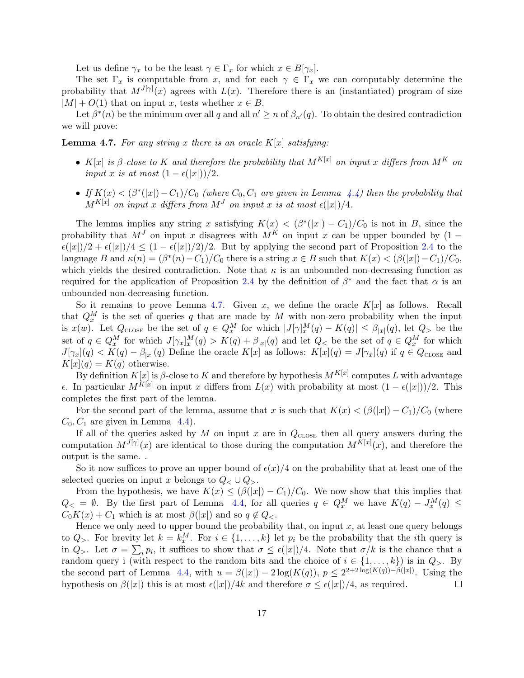Let us define  $\gamma_x$  to be the least  $\gamma \in \Gamma_x$  for which  $x \in B[\gamma_x]$ .

The set  $\Gamma_x$  is computable from x, and for each  $\gamma \in \Gamma_x$  we can computably determine the probability that  $M^{J[\gamma]}(x)$  agrees with  $L(x)$ . Therefore there is an (instantiated) program of size  $|M| + O(1)$  that on input x, tests whether  $x \in B$ .

Let  $\beta^*(n)$  be the minimum over all q and all  $n' \geq n$  of  $\beta_{n'}(q)$ . To obtain the desired contradiction we will prove:

<span id="page-16-0"></span>**Lemma 4.7.** For any string x there is an oracle  $K[x]$  satisfying:

- K[x] is β-close to K and therefore the probability that  $M^{K[x]}$  on input x differs from  $M^K$  on input x is at most  $(1 - \epsilon(|x|))/2$ .
- If  $K(x) < (\beta^*(|x|) C_1)/C_0$  (where  $C_0, C_1$  are given in Lemma [4.4\)](#page-15-0) then the probability that  $M^{K[x]}$  on input x differs from  $M^J$  on input x is at most  $\epsilon(|x|)/4$ .

The lemma implies any string x satisfying  $K(x) < (\beta^*(|x|) - C_1)/C_0$  is not in B, since the probability that  $M<sup>J</sup>$  on input x disagrees with  $M<sup>K</sup>$  on input x can be upper bounded by (1 –  $\epsilon(|x|)/2 + \epsilon(|x|)/4 \leq (1 - \epsilon(|x|)/2)/2$ . But by applying the second part of Proposition [2.4](#page-10-0) to the language B and  $\kappa(n) = (\beta^*(n) - C_1)/C_0$  there is a string  $x \in B$  such that  $K(x) < (\beta(|x|) - C_1)/C_0$ , which yields the desired contradiction. Note that  $\kappa$  is an unbounded non-decreasing function as required for the application of Proposition [2.4](#page-10-0) by the definition of  $\beta^*$  and the fact that  $\alpha$  is an unbounded non-decreasing function.

So it remains to prove Lemma [4.7.](#page-16-0) Given x, we define the oracle  $K[x]$  as follows. Recall that  $Q_x^M$  is the set of queries q that are made by M with non-zero probability when the input is  $x(w)$ . Let  $Q_{\text{cLOSE}}$  be the set of  $q \in Q_x^M$  for which  $|J[\gamma]_x^M(q) - K(q)| \leq \beta_{|x|}(q)$ , let  $Q_{>}$  be the set of  $q \in Q_x^M$  for which  $J[\gamma_x]_x^M(q) > K(q) + \beta_{|x|}(q)$  and let  $Q_{\lt}$  be the set of  $q \in Q_x^M$  for which  $J[\gamma_x](q) < K(q) - \beta_{|x|}(q)$  Define the oracle  $K[x]$  as follows:  $K[x](q) = J[\gamma_x](q)$  if  $q \in Q_{\text{CLOSE}}$  and  $K[x](q) = K(q)$  otherwise.

By definition  $K[x]$  is  $\beta$ -close to  $K$  and therefore by hypothesis  $M^{K[x]}$  computes  $L$  with advantage  $\epsilon$ . In particular  $M^{K[x]}$  on input x differs from  $L(x)$  with probability at most  $(1 - \epsilon(|x|))/2$ . This completes the first part of the lemma.

For the second part of the lemma, assume that x is such that  $K(x) < (\beta(|x|) - C_1)/C_0$  (where  $C_0, C_1$  are given in Lemma [4.4\)](#page-15-0).

If all of the queries asked by  $M$  on input  $x$  are in  $Q_{\text{CLOSE}}$  then all query answers during the computation  $M^{J[\gamma]}(x)$  are identical to those during the computation  $M^{K[x]}(x)$ , and therefore the output is the same. .

So it now suffices to prove an upper bound of  $\epsilon(x)/4$  on the probability that at least one of the selected queries on input x belongs to  $Q_{\leq} \cup Q_{\geq}$ .

From the hypothesis, we have  $K(x) \leq (\beta(|x|) - C_1)/C_0$ . We now show that this implies that  $Q_{\leq} = \emptyset$ . By the first part of Lemma [4.4,](#page-15-0) for all queries  $q \in Q_x^M$  we have  $K(q) - J_x^M(q) \leq$  $C_0K(x) + C_1$  which is at most  $\beta(|x|)$  and so  $q \notin Q_{\leq}$ .

Hence we only need to upper bound the probability that, on input  $x$ , at least one query belongs to  $Q_{>}$ . For brevity let  $k = k_x^M$ . For  $i \in \{1, ..., k\}$  let  $p_i$  be the probability that the *i*th query is in  $Q_{\geq}$ . Let  $\sigma = \sum_i p_i$ , it suffices to show that  $\sigma \leq \epsilon(|x|)/4$ . Note that  $\sigma/k$  is the chance that a random query i (with respect to the random bits and the choice of  $i \in \{1, \ldots, k\}$ ) is in  $Q_{>}$ . By the second part of Lemma [4.4,](#page-15-0) with  $u = \beta(|x|) - 2\log(K(q)), p \leq 2^{2+2\log(K(q))-\beta(|x|)}$ . Using the hypothesis on  $\beta(|x|)$  this is at most  $\epsilon(|x|)/4k$  and therefore  $\sigma \leq \epsilon(|x|)/4$ , as required.  $\Box$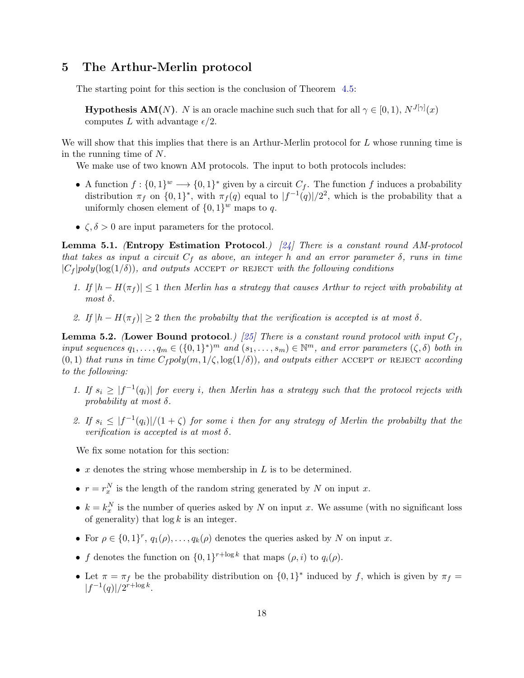## 5 The Arthur-Merlin protocol

The starting point for this section is the conclusion of Theorem [4.5:](#page-15-1)

**Hypothesis AM(N)**. N is an oracle machine such such that for all  $\gamma \in [0,1)$ ,  $N^{J[\gamma]}(x)$ computes L with advantage  $\epsilon/2$ .

We will show that this implies that there is an Arthur-Merlin protocol for  $L$  whose running time is in the running time of N.

We make use of two known AM protocols. The input to both protocols includes:

- A function  $f: \{0,1\}^w \longrightarrow \{0,1\}^*$  given by a circuit  $C_f$ . The function f induces a probability distribution  $\pi_f$  on  $\{0,1\}^*$ , with  $\pi_f(q)$  equal to  $|f^{-1}(q)|/2^2$ , which is the probability that a uniformly chosen element of  $\{0,1\}^w$  maps to q.
- $\zeta, \delta > 0$  are input parameters for the protocol.

<span id="page-17-0"></span>Lemma 5.1. (Entropy Estimation Protocol.) [\[24\]](#page-29-10) There is a constant round AM-protocol that takes as input a circuit  $C_f$  as above, an integer h and an error parameter  $\delta$ , runs in time  $|C_f|poly(\log(1/\delta))$ , and outputs ACCEPT or REJECT with the following conditions

- 1. If  $|h H(\pi_f)| \leq 1$  then Merlin has a strategy that causes Arthur to reject with probability at most  $\delta$ .
- 2. If  $|h H(\pi_f)| \geq 2$  then the probabilty that the verification is accepted is at most  $\delta$ .

<span id="page-17-1"></span>**Lemma 5.2.** (Lower Bound protocol.) [\[25\]](#page-29-9) There is a constant round protocol with input  $C_f$ , input sequences  $q_1, \ldots, q_m \in (\{0,1\}^*)^m$  and  $(s_1, \ldots, s_m) \in \mathbb{N}^m$ , and error parameters  $(\zeta, \delta)$  both in  $(0, 1)$  that runs in time  $C_f poly(m, 1/\zeta, \log(1/\delta))$ , and outputs either ACCEPT or REJECT according to the following:

- 1. If  $s_i \geq |f^{-1}(q_i)|$  for every i, then Merlin has a strategy such that the protocol rejects with probability at most  $\delta$ .
- 2. If  $s_i \leq |f^{-1}(q_i)|/(1+\zeta)$  for some i then for any strategy of Merlin the probabilty that the verification is accepted is at most  $\delta$ .

We fix some notation for this section:

- $x$  denotes the string whose membership in  $L$  is to be determined.
- $r = r_x^N$  is the length of the random string generated by N on input x.
- $k = k_x^N$  is the number of queries asked by N on input x. We assume (with no significant loss of generality) that  $\log k$  is an integer.
- For  $\rho \in \{0,1\}^r$ ,  $q_1(\rho), \ldots, q_k(\rho)$  denotes the queries asked by N on input x.
- f denotes the function on  $\{0,1\}^{r+\log k}$  that maps  $(\rho, i)$  to  $q_i(\rho)$ .
- Let  $\pi = \pi_f$  be the probability distribution on  $\{0,1\}^*$  induced by f, which is given by  $\pi_f =$  $|f^{-1}(q)|/2^{r+\log k}.$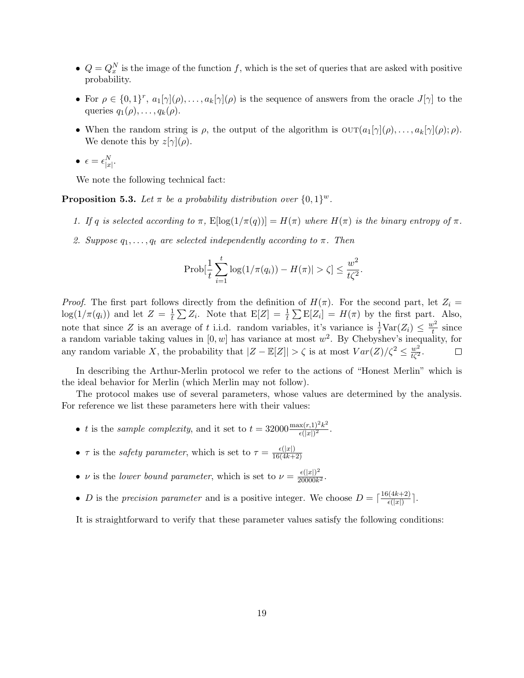- $Q = Q_x^N$  is the image of the function f, which is the set of queries that are asked with positive probability.
- For  $\rho \in \{0,1\}^r$ ,  $a_1[\gamma](\rho), \ldots, a_k[\gamma](\rho)$  is the sequence of answers from the oracle  $J[\gamma]$  to the queries  $q_1(\rho), \ldots, q_k(\rho)$ .
- When the random string is  $\rho$ , the output of the algorithm is  $\text{OUT}(a_1[\gamma](\rho), \ldots, a_k[\gamma](\rho); \rho)$ . We denote this by  $z[\gamma](\rho)$ .

$$
\bullet \ \epsilon = \epsilon^N_{|x|}.
$$

We note the following technical fact:

<span id="page-18-0"></span>**Proposition 5.3.** Let  $\pi$  be a probability distribution over  $\{0,1\}^w$ .

- 1. If q is selected according to  $\pi$ ,  $\mathbb{E}[\log(1/\pi(q))] = H(\pi)$  where  $H(\pi)$  is the binary entropy of  $\pi$ .
- 2. Suppose  $q_1, \ldots, q_t$  are selected independently according to  $\pi$ . Then

$$
Prob[\frac{1}{t}\sum_{i=1}^{t}log(1/\pi(q_i)) - H(\pi)| > \zeta] \le \frac{w^2}{t\zeta^2}.
$$

*Proof.* The first part follows directly from the definition of  $H(\pi)$ . For the second part, let  $Z_i =$  $\log(1/\pi(q_i))$  and let  $Z=\frac{1}{t}$  $\frac{1}{t} \sum Z_i$ . Note that  $E[Z] = \frac{1}{t} \sum E[Z_i] = H(\pi)$  by the first part. Also, note that since Z is an average of t i.i.d. random variables, it's variance is  $\frac{1}{t} \text{Var}(Z_i) \leq \frac{w^2}{t}$  $\frac{v^2}{t}$  since a random variable taking values in  $[0, w]$  has variance at most  $w^2$ . By Chebyshev's inequality, for any random variable X, the probability that  $|Z - \mathbb{E}[Z]| > \zeta$  is at most  $Var(Z)/\zeta^2 \leq \frac{w^2}{t\zeta^2}$ .  $\Box$ 

In describing the Arthur-Merlin protocol we refer to the actions of "Honest Merlin" which is the ideal behavior for Merlin (which Merlin may not follow).

The protocol makes use of several parameters, whose values are determined by the analysis. For reference we list these parameters here with their values:

- t is the sample complexity, and it set to  $t = 32000 \frac{\max(r,1)^2 k^2}{\epsilon(|r|)^2}$  $\frac{x(r,1)^{-}\kappa^{-}}{\epsilon(|x|)^{2}}.$
- $\tau$  is the *safety parameter*, which is set to  $\tau = \frac{\epsilon(|x|)}{16(4k+1)}$ 16(4k+2)
- v is the lower bound parameter, which is set to  $\nu = \frac{\epsilon(|x|)^2}{20000k}$  $\frac{\epsilon(|x|)^2}{20000k^2}$
- *D* is the precision parameter and is a positive integer. We choose  $D = \left[\frac{16(4k+2)}{\epsilon(|x|)}\right]$  $\frac{\pi(4k+2)}{\epsilon(|x|)}$ .

It is straightforward to verify that these parameter values satisfy the following conditions: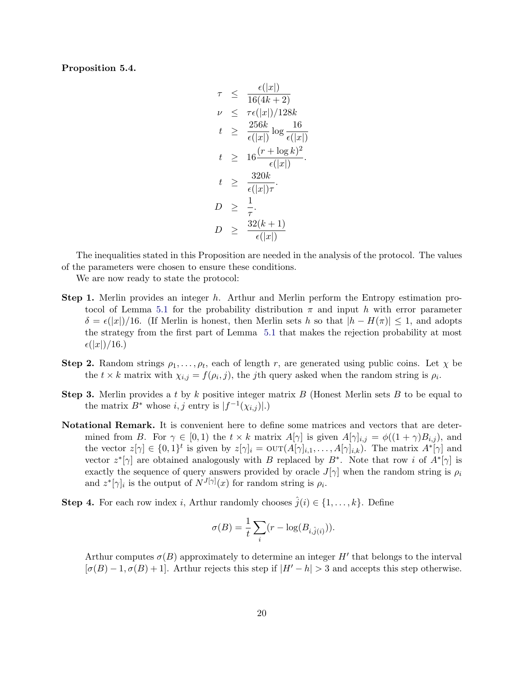<span id="page-19-0"></span>Proposition 5.4.

$$
\tau \leq \frac{\epsilon(|x|)}{16(4k+2)}
$$
\n
$$
\nu \leq \tau \epsilon(|x|)/128k
$$
\n
$$
t \geq \frac{256k}{\epsilon(|x|)} \log \frac{16}{\epsilon(|x|)}
$$
\n
$$
t \geq 16 \frac{(r + \log k)^2}{\epsilon(|x|)}
$$
\n
$$
t \geq \frac{320k}{\epsilon(|x|)\tau}
$$
\n
$$
D \geq \frac{1}{\tau}
$$
\n
$$
D \geq \frac{32(k+1)}{\epsilon(|x|)}
$$

The inequalities stated in this Proposition are needed in the analysis of the protocol. The values of the parameters were chosen to ensure these conditions.

We are now ready to state the protocol:

- **Step 1.** Merlin provides an integer h. Arthur and Merlin perform the Entropy estimation pro-tocol of Lemma [5.1](#page-17-0) for the probability distribution  $\pi$  and input h with error parameter  $\delta = \epsilon(|x|)/16$ . (If Merlin is honest, then Merlin sets h so that  $|h - H(\pi)| \leq 1$ , and adopts the strategy from the first part of Lemma [5.1](#page-17-0) that makes the rejection probability at most  $\epsilon(|x|)/16.$
- **Step 2.** Random strings  $\rho_1, \ldots, \rho_t$ , each of length r, are generated using public coins. Let  $\chi$  be the  $t \times k$  matrix with  $\chi_{i,j} = f(\rho_i, j)$ , the *j*th query asked when the random string is  $\rho_i$ .
- **Step 3.** Merlin provides a t by k positive integer matrix  $B$  (Honest Merlin sets  $B$  to be equal to the matrix  $B^*$  whose  $i, j$  entry is  $|f^{-1}(\chi_{i,j})|$ .)
- Notational Remark. It is convenient here to define some matrices and vectors that are determined from B. For  $\gamma \in [0,1)$  the  $t \times k$  matrix  $A[\gamma]$  is given  $A[\gamma]_{i,j} = \phi((1+\gamma)B_{i,j})$ , and the vector  $z[\gamma] \in \{0,1\}^t$  is given by  $z[\gamma]_i = \text{OUT}(A[\gamma]_{i,1}, \ldots, A[\gamma]_{i,k})$ . The matrix  $A^*[\gamma]$  and vector  $z^*[\gamma]$  are obtained analogously with B replaced by B<sup>\*</sup>. Note that row i of  $A^*[\gamma]$  is exactly the sequence of query answers provided by oracle  $J[\gamma]$  when the random string is  $\rho_i$ and  $z^*[\gamma]_i$  is the output of  $N^{J[\gamma]}(x)$  for random string is  $\rho_i$ .
- **Step 4.** For each row index *i*, Arthur randomly chooses  $\hat{j}(i) \in \{1, ..., k\}$ . Define

$$
\sigma(B) = \frac{1}{t} \sum_i (r - \log(B_{i, \hat{j}(i)})).
$$

Arthur computes  $\sigma(B)$  approximately to determine an integer H' that belongs to the interval  $[\sigma(B) - 1, \sigma(B) + 1]$ . Arthur rejects this step if  $|H' - h| > 3$  and accepts this step otherwise.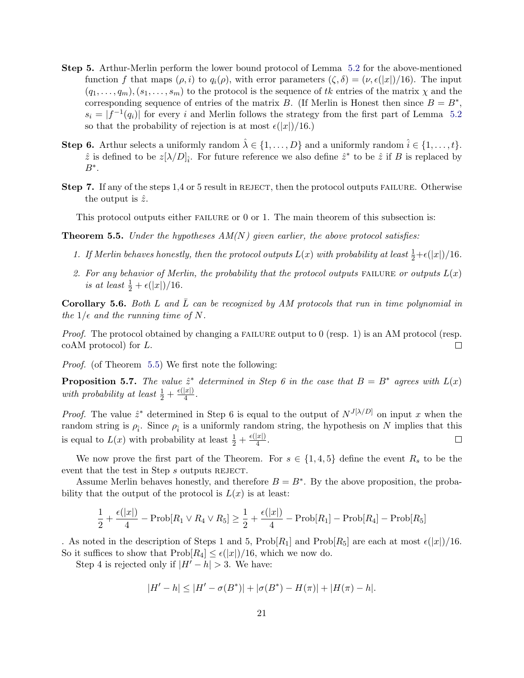- Step 5. Arthur-Merlin perform the lower bound protocol of Lemma [5.2](#page-17-1) for the above-mentioned function f that maps  $(\rho, i)$  to  $q_i(\rho)$ , with error parameters  $(\zeta, \delta) = (\nu, \epsilon(|x|)/16)$ . The input  $(q_1, \ldots, q_m), (s_1, \ldots, s_m)$  to the protocol is the sequence of tk entries of the matrix  $\chi$  and the corresponding sequence of entries of the matrix B. (If Merlin is Honest then since  $B = B^*$ ,  $s_i = |f^{-1}(q_i)|$  for every i and Merlin follows the strategy from the first part of Lemma [5.2](#page-17-1) so that the probability of rejection is at most  $\epsilon(|x|)/16$ .)
- **Step 6.** Arthur selects a uniformly random  $\hat{\lambda} \in \{1, ..., D\}$  and a uniformly random  $\hat{i} \in \{1, ..., t\}$ .  $\hat{z}$  is defined to be  $z[\lambda/D]_{\hat{i}}$ . For future reference we also define  $\hat{z}^*$  to be  $\hat{z}$  if B is replaced by  $B^*$ .
- Step 7. If any of the steps 1,4 or 5 result in REJECT, then the protocol outputs FAILURE. Otherwise the output is  $\hat{z}$ .

This protocol outputs either FAILURE or 0 or 1. The main theorem of this subsection is:

<span id="page-20-0"></span>**Theorem 5.5.** Under the hypotheses  $AM(N)$  given earlier, the above protocol satisfies:

- 1. If Merlin behaves honestly, then the protocol outputs  $L(x)$  with probability at least  $\frac{1}{2}+\epsilon(|x|)/16$ .
- 2. For any behavior of Merlin, the probability that the protocol outputs FAILURE or outputs  $L(x)$ is at least  $\frac{1}{2} + \epsilon(|x|)/16$ .

**Corollary 5.6.** Both L and  $\overline{L}$  can be recognized by AM protocols that run in time polynomial in the  $1/\epsilon$  and the running time of N.

*Proof.* The protocol obtained by changing a FAILURE output to 0 (resp. 1) is an AM protocol (resp. coAM protocol) for L.  $\Box$ 

Proof. (of Theorem [5.5\)](#page-20-0) We first note the following:

<span id="page-20-1"></span>**Proposition 5.7.** The value  $\hat{z}^*$  determined in Step 6 in the case that  $B = B^*$  agrees with  $L(x)$ with probability at least  $\frac{1}{2} + \frac{\epsilon(|x|)}{4}$  $\frac{|x|}{4}$ .

*Proof.* The value  $\hat{z}^*$  determined in Step 6 is equal to the output of  $N^{J[\lambda/D]}$  on input x when the random string is  $\rho_{\hat{i}}$ . Since  $\rho_{\hat{i}}$  is a uniformly random string, the hypothesis on N implies that this is equal to  $L(x)$  with probability at least  $\frac{1}{2} + \frac{\epsilon(|x|)}{4}$  $\frac{|x|}{4}$ .  $\Box$ 

We now prove the first part of the Theorem. For  $s \in \{1,4,5\}$  define the event  $R_s$  to be the event that the test in Step s outputs REJECT.

Assume Merlin behaves honestly, and therefore  $B = B^*$ . By the above proposition, the probability that the output of the protocol is  $L(x)$  is at least:

$$
\frac{1}{2} + \frac{\epsilon(|x|)}{4} - \text{Prob}[R_1 \vee R_4 \vee R_5] \ge \frac{1}{2} + \frac{\epsilon(|x|)}{4} - \text{Prob}[R_1] - \text{Prob}[R_4] - \text{Prob}[R_5]
$$

. As noted in the description of Steps 1 and 5,  $\text{Prob}[R_1]$  and  $\text{Prob}[R_5]$  are each at most  $\epsilon(|x|)/16$ . So it suffices to show that  $\text{Prob}[R_4] \leq \epsilon(|x|)/16$ , which we now do.

Step 4 is rejected only if  $|H'-h| > 3$ . We have:

$$
|H' - h| \le |H' - \sigma(B^*)| + |\sigma(B^*) - H(\pi)| + |H(\pi) - h|.
$$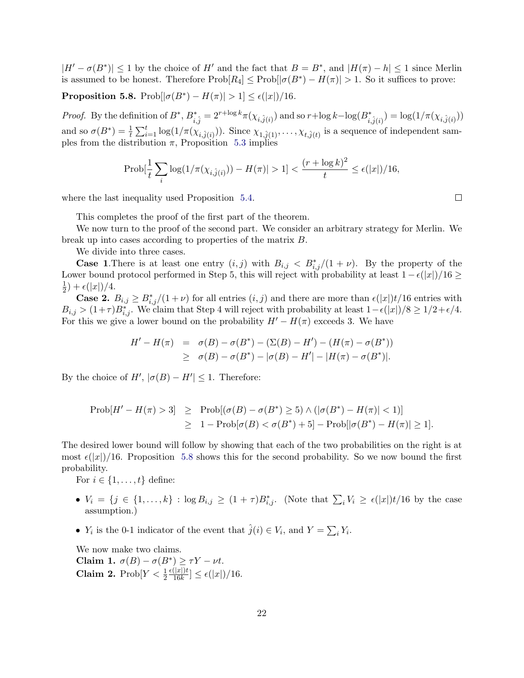$|H' - \sigma(B^*)| \le 1$  by the choice of H' and the fact that  $B = B^*$ , and  $|H(\pi) - h| \le 1$  since Merlin is assumed to be honest. Therefore  $\text{Prob}[R_4] \leq \text{Prob}[|\sigma(B^*) - H(\pi)| > 1$ . So it suffices to prove:

<span id="page-21-0"></span>**Proposition 5.8.** Prob $\left| \sigma(B^*) - H(\pi) \right| > 1 \leq \epsilon(|x|)/16$ .

*Proof.* By the definition of  $B^*$ ,  $B^*_{i,\hat{j}} = 2^{r+\log k} \pi(\chi_{i,\hat{j}(i)})$  and so  $r + \log k - \log(B^*_{i,\hat{j}(i)}) = \log(1/\pi(\chi_{i,\hat{j}(i)}))$ and so  $\sigma(B^*) = \frac{1}{t} \sum_{i=1}^t \log(1/\pi(\chi_{i,\hat{j}(i)}))$ . Since  $\chi_{1,\hat{j}(1)}, \ldots, \chi_{t,\hat{j}(t)}$  is a sequence of independent samples from the distribution  $\pi$ , Proposition [5.3](#page-18-0) implies

$$
\text{Prob}[\frac{1}{t}\sum_i \log(1/\pi(\chi_{i,\hat{j}(i)})) - H(\pi)] > 1] < \frac{(r + \log k)^2}{t} \le \epsilon(|x|)/16,
$$

where the last inequality used Proposition [5.4.](#page-19-0)

This completes the proof of the first part of the theorem.

We now turn to the proof of the second part. We consider an arbitrary strategy for Merlin. We break up into cases according to properties of the matrix B.

We divide into three cases.

**Case 1.** There is at least one entry  $(i, j)$  with  $B_{i,j} < B_{i,j}^*/(1 + \nu)$ . By the property of the Lower bound protocol performed in Step 5, this will reject with probability at least  $1 - \epsilon(|x|)/16 \ge$ 1  $(\frac{1}{2}) + \epsilon(|x|)/4.$ 

**Case 2.**  $B_{i,j} \geq B_{i,j}^*/(1+\nu)$  for all entries  $(i, j)$  and there are more than  $\epsilon(|x|)t/16$  entries with  $B_{i,j} > (1+\tau)B_{i,j}^*$ . We claim that Step 4 will reject with probability at least  $1-\epsilon(|x|)/8 \geq 1/2+\epsilon/4$ . For this we give a lower bound on the probability  $H'-H(\pi)$  exceeds 3. We have

$$
H' - H(\pi) = \sigma(B) - \sigma(B^*) - (\Sigma(B) - H') - (H(\pi) - \sigma(B^*))
$$
  
 
$$
\geq \sigma(B) - \sigma(B^*) - |\sigma(B) - H'| - |H(\pi) - \sigma(B^*)|.
$$

By the choice of  $H'$ ,  $|\sigma(B) - H'| \leq 1$ . Therefore:

$$
\begin{array}{rcl}\n\text{Prob}[H'-H(\pi)>3] &\geq & \text{Prob}[(\sigma(B)-\sigma(B^*)\geq 5) \land (|\sigma(B^*)-H(\pi)|<1)] \\
&\geq & 1-\text{Prob}[\sigma(B)<\sigma(B^*)+5]-\text{Prob}[|\sigma(B^*)-H(\pi)|>1].\n\end{array}
$$

The desired lower bound will follow by showing that each of the two probabilities on the right is at most  $\epsilon(|x|)/16$ . Proposition [5.8](#page-21-0) shows this for the second probability. So we now bound the first probability.

For  $i \in \{1, \ldots, t\}$  define:

- $V_i = \{j \in \{1,\ldots,k\} : \log B_{i,j} \geq (1+\tau)B_{i,j}^*$ . (Note that  $\sum_i V_i \geq \epsilon(|x|)t/16$  by the case assumption.)
- $Y_i$  is the 0-1 indicator of the event that  $\hat{j}(i) \in V_i$ , and  $Y = \sum_i Y_i$ .

We now make two claims. Claim 1.  $\sigma(B) - \sigma(B^*) \geq \tau Y - \nu t$ . Claim 2. Prob $[Y < \frac{1}{2})$  $\epsilon(|x|)t$  $\frac{(|x|)t}{16k}] \leq \epsilon(|x|)/16.$   $\Box$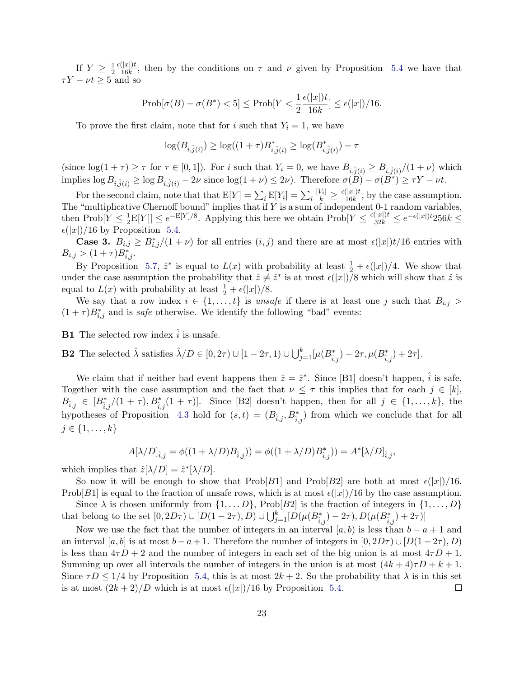If  $Y \geq \frac{1}{2}$  $\overline{2}$  $\epsilon(|x|)t$  $\frac{(|\mathcal{X}|)^t}{16k}$ , then by the conditions on  $\tau$  and  $\nu$  given by Proposition [5.4](#page-19-0) we have that  $\tau Y - \nu t \geq 5$  and so

$$
\mathrm{Prob}[\sigma(B) - \sigma(B^*) < 5] \le \mathrm{Prob}[Y < \frac{1}{2} \frac{\epsilon(|x|)t}{16k}] \le \epsilon(|x|)/16.
$$

To prove the first claim, note that for i such that  $Y_i = 1$ , we have

$$
\log(B_{i,\hat{j}(i)}) \geq \log((1+\tau)B_{i,\hat{j}(i)}^*) \geq \log(B_{i,\hat{j}(i)}^*) + \tau
$$

(since  $\log(1+\tau) \geq \tau$  for  $\tau \in [0,1]$ ). For i such that  $Y_i = 0$ , we have  $B_{i,\hat{j}(i)} \geq B_{i,\hat{j}(i)}/(1+\nu)$  which implies  $\log B_{i,\hat{j}(i)} \ge \log B_{i,\hat{j}(i)} - 2\nu$  since  $\log(1 + \nu) \le 2\nu$ ). Therefore  $\sigma(\tilde{B}) - \sigma(\tilde{B}^*) \ge \tau Y - \nu t$ .

For the second claim, note that that  $E[Y] = \sum_i E[Y_i] = \sum_i \frac{|V_i|}{k} \ge \frac{\epsilon(|x|)t}{16k}$  $\frac{(|x|)t}{16k}$ , by the case assumption. The "multiplicative Chernoff bound" implies that if  $Y$  is a sum of independent 0-1 random variables, then  $\text{Prob}[Y \leq \frac{1}{2}]$  $\frac{1}{2}E[Y]] \leq e^{-E[Y]/8}$ . Applying this here we obtain  $\text{Prob}[Y \leq \frac{\epsilon(|x|)t}{32k} \leq e^{-\epsilon(|x|)t}256k \leq$  $\epsilon(|x|)/16$  by Proposition [5.4.](#page-19-0)

**Case 3.**  $B_{i,j} \geq B_{i,j}^*/(1+\nu)$  for all entries  $(i, j)$  and there are at most  $\epsilon(|x|)t/16$  entries with  $B_{i,j} > (1+\tau)B_{i,j}^*$ .

By Proposition [5.7,](#page-20-1)  $\hat{z}^*$  is equal to  $L(x)$  with probability at least  $\frac{1}{2} + \epsilon(|x|)/4$ . We show that under the case assumption the probability that  $\hat{z} \neq \hat{z}^*$  is at most  $\epsilon(|x|)/8$  which will show that  $\hat{z}$  is equal to  $L(x)$  with probability at least  $\frac{1}{2} + \epsilon(|x|)/8$ .

We say that a row index  $i \in \{1, ..., t\}$  is unsafe if there is at least one j such that  $B_{i,j}$  $(1 + \tau)B_{i,j}^*$  and is *safe* otherwise. We identify the following "bad" events:

**B1** The selected row index  $\hat{i}$  is unsafe.

**B2** The selected  $\hat{\lambda}$  satisfies  $\hat{\lambda}/D \in [0, 2\tau) \cup [1 - 2\tau, 1] \cup \bigcup_{j=1}^{k} [\mu(B_{\hat{i},j}^{*}) - 2\tau, \mu(B_{\hat{i},j}^{*}) + 2\tau].$ 

We claim that if neither bad event happens then  $\hat{z} = \hat{z}^*$ . Since [B1] doesn't happen,  $\hat{i}$  is safe. Together with the case assumption and the fact that  $\nu \leq \tau$  this implies that for each  $j \in [k]$ ,  $B_{\hat{i},j} \in [B_{\hat{i},j}^*/(1+\tau), B_{\hat{i},j}^*(1+\tau)].$  Since [B2] doesn't happen, then for all  $j \in \{1,\ldots,k\}$ , the hypotheses of Proposition [4.3](#page-14-1) hold for  $(s,t) = (B_{\hat{i},j}, B_{\hat{i},j}^*)$  from which we conclude that for all  $j \in \{1, \ldots, k\}$ 

$$
A[\lambda/D]_{\hat{i},j}=\phi((1+\lambda/D)B_{\hat{i},j}))=\phi((1+\lambda/D)B_{\hat{i},j}^*))=A^* [\lambda/D]_{\hat{i},j},
$$

which implies that  $\hat{z}[\lambda/D] = \hat{z}^*[\lambda/D]$ .

So now it will be enough to show that  $Prob[B1]$  and  $Prob[B2]$  are both at most  $\epsilon(|x|)/16$ . Prob[B1] is equal to the fraction of unsafe rows, which is at most  $\epsilon(|x|)/16$  by the case assumption.

Since  $\lambda$  is chosen uniformly from  $\{1, \ldots D\}$ , Prob[B2] is the fraction of integers in  $\{1, \ldots, D\}$ that belong to the set  $[0, 2D\tau) \cup [D(1 - 2\tau), D) \cup \bigcup_{j=1}^{k} [D(\mu(B^{*}_{\hat{i},j}) - 2\tau), D(\mu(B^{*}_{\hat{i},j}) + 2\tau)]$ 

Now we use the fact that the number of integers in an interval [a, b) is less than  $b - a + 1$  and an interval [a, b] is at most  $b - a + 1$ . Therefore the number of integers in  $[0, 2D\tau) \cup [D(1 - 2\tau), D)$ is less than  $4\tau D + 2$  and the number of integers in each set of the big union is at most  $4\tau D + 1$ . Summing up over all intervals the number of integers in the union is at most  $(4k+4)\tau D + k+1$ . Since  $\tau D \leq 1/4$  by Proposition [5.4,](#page-19-0) this is at most  $2k + 2$ . So the probability that  $\lambda$  is in this set is at most  $\frac{2k+2}{D}$  which is at most  $\frac{\epsilon(|x|)}{16}$  by Proposition [5.4.](#page-19-0)  $\Box$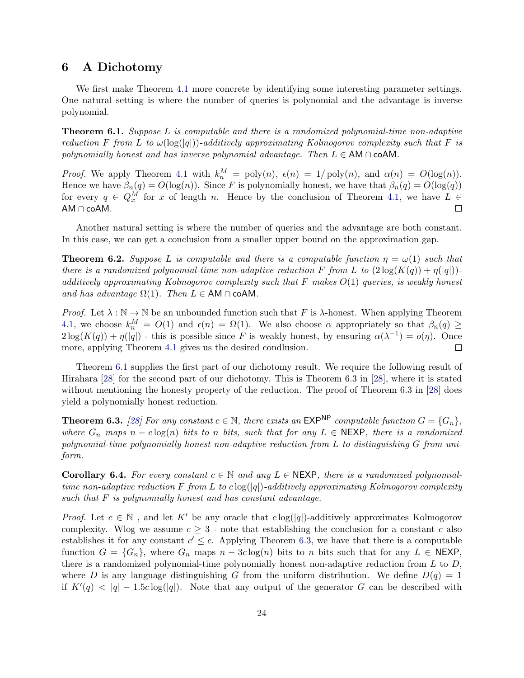## 6 A Dichotomy

We first make Theorem [4.1](#page-13-0) more concrete by identifying some interesting parameter settings. One natural setting is where the number of queries is polynomial and the advantage is inverse polynomial.

<span id="page-23-0"></span>Theorem 6.1. Suppose L is computable and there is a randomized polynomial-time non-adaptive reduction F from L to  $\omega(\log(|q|))$ -additively approximating Kolmogorov complexity such that F is polynomially honest and has inverse polynomial advantage. Then  $L \in AM \cap coAM$ .

*Proof.* We apply Theorem [4.1](#page-13-0) with  $k_n^M = \text{poly}(n)$ ,  $\epsilon(n) = 1/\text{poly}(n)$ , and  $\alpha(n) = O(\log(n))$ . Hence we have  $\beta_n(q) = O(\log(n))$ . Since F is polynomially honest, we have that  $\beta_n(q) = O(\log(q))$ for every  $q \in Q_x^M$  for x of length n. Hence by the conclusion of Theorem [4.1,](#page-13-0) we have  $L \in$ AM ∩ coAM. П

Another natural setting is where the number of queries and the advantage are both constant. In this case, we can get a conclusion from a smaller upper bound on the approximation gap.

**Theorem 6.2.** Suppose L is computable and there is a computable function  $\eta = \omega(1)$  such that there is a randomized polynomial-time non-adaptive reduction F from L to  $(2\log(K(q)) + \eta(|q|))$ additively approximating Kolmogorov complexity such that  $F$  makes  $O(1)$  queries, is weakly honest and has advantage  $\Omega(1)$ . Then  $L \in AM \cap coAM$ .

*Proof.* Let  $\lambda : \mathbb{N} \to \mathbb{N}$  be an unbounded function such that F is  $\lambda$ -honest. When applying Theorem [4.1,](#page-13-0) we choose  $k_n^M = O(1)$  and  $\epsilon(n) = \Omega(1)$ . We also choose  $\alpha$  appropriately so that  $\beta_n(q) \geq$  $2\log(K(q)) + \eta(|q|)$  - this is possible since F is weakly honest, by ensuring  $\alpha(\lambda^{-1}) = o(\eta)$ . Once more, applying Theorem [4.1](#page-13-0) gives us the desired condlusion.  $\Box$ 

Theorem [6.1](#page-23-0) supplies the first part of our dichotomy result. We require the following result of Hirahara [\[28\]](#page-29-2) for the second part of our dichotomy. This is Theorem 6.3 in [\[28\]](#page-29-2), where it is stated without mentioning the honesty property of the reduction. The proof of Theorem 6.3 in [\[28\]](#page-29-2) does yield a polynomially honest reduction.

<span id="page-23-1"></span>**Theorem 6.3.** [\[28\]](#page-29-2) For any constant  $c \in \mathbb{N}$ , there exists an EXP<sup>NP</sup> computable function  $G = \{G_n\}$ , where  $G_n$  maps  $n - c \log(n)$  bits to n bits, such that for any  $L \in \text{NEXP}$ , there is a randomized polynomial-time polynomially honest non-adaptive reduction from L to distinguishing G from uniform.

<span id="page-23-2"></span>**Corollary 6.4.** For every constant  $c \in \mathbb{N}$  and any  $L \in \text{NEXP}$ , there is a randomized polynomialtime non-adaptive reduction F from L to  $c \log(|q|)$ -additively approximating Kolmogorov complexity such that  $F$  is polynomially honest and has constant advantage.

*Proof.* Let  $c \in \mathbb{N}$ , and let K' be any oracle that  $c \log(|q|)$ -additively approximates Kolmogorov complexity. Wlog we assume  $c \geq 3$  - note that establishing the conclusion for a constant c also establishes it for any constant  $c' \leq c$ . Applying Theorem [6.3,](#page-23-1) we have that there is a computable function  $G = \{G_n\}$ , where  $G_n$  maps  $n - 3c \log(n)$  bits to n bits such that for any  $L \in \text{NEXP}$ , there is a randomized polynomial-time polynomially honest non-adaptive reduction from  $L$  to  $D$ , where D is any language distinguishing G from the uniform distribution. We define  $D(q) = 1$ if  $K'(q) < |q| - 1.5c \log(|q|)$ . Note that any output of the generator G can be described with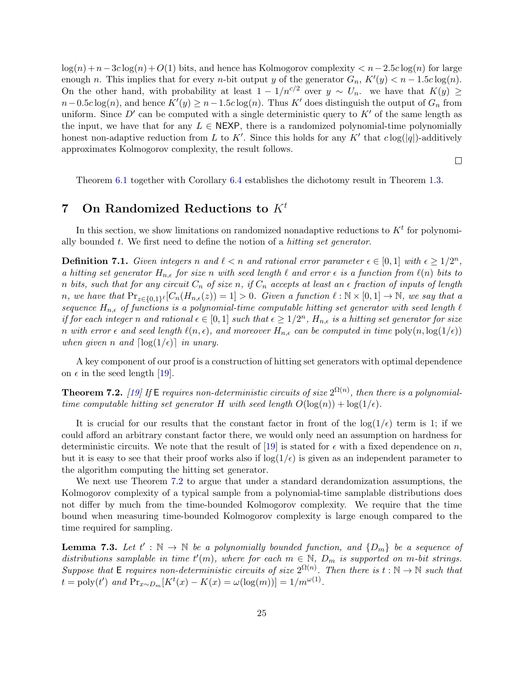$\log(n) + n - 3c \log(n) + O(1)$  bits, and hence has Kolmogorov complexity  $\lt n - 2.5c \log(n)$  for large enough n. This implies that for every n-bit output y of the generator  $G_n$ ,  $K'(y) < n - 1.5c \log(n)$ . On the other hand, with probability at least  $1 - 1/n^{c/2}$  over  $y \sim U_n$ . we have that  $K(y) \geq$  $n-0.5c \log(n)$ , and hence  $K'(y) \geq n-1.5c \log(n)$ . Thus K' does distinguish the output of  $G_n$  from uniform. Since  $D'$  can be computed with a single deterministic query to  $K'$  of the same length as the input, we have that for any  $L \in \text{NEXP}$ , there is a randomized polynomial-time polynomially honest non-adaptive reduction from L to K'. Since this holds for any K' that  $c \log(|q|)$ -additively approximates Kolmogorov complexity, the result follows.

 $\Box$ 

Theorem [6.1](#page-23-0) together with Corollary [6.4](#page-23-2) establishes the dichotomy result in Theorem [1.3.](#page-3-1)

# 7 On Randomized Reductions to  $K^t$

In this section, we show limitations on randomized nonadaptive reductions to  $K<sup>t</sup>$  for polynomially bounded t. We first need to define the notion of a hitting set generator.

<span id="page-24-1"></span>**Definition 7.1.** Given integers n and  $\ell < n$  and rational error parameter  $\epsilon \in [0,1]$  with  $\epsilon \geq 1/2^n$ , a hitting set generator  $H_{n,\epsilon}$  for size n with seed length  $\ell$  and error  $\epsilon$  is a function from  $\ell(n)$  bits to n bits, such that for any circuit  $C_n$  of size n, if  $C_n$  accepts at least an  $\epsilon$  fraction of inputs of length n, we have that  $Pr_{z \in \{0,1\}^{\ell}}[C_n(H_{n,\epsilon}(z)) = 1] > 0$ . Given a function  $\ell : \mathbb{N} \times [0,1] \to \mathbb{N}$ , we say that a sequence  $H_{n,\epsilon}$  of functions is a polynomial-time computable hitting set generator with seed length  $\ell$ if for each integer n and rational  $\epsilon \in [0,1]$  such that  $\epsilon \geq 1/2^n$ ,  $H_{n,\epsilon}$  is a hitting set generator for size n with error  $\epsilon$  and seed length  $\ell(n, \epsilon)$ , and moreover  $H_{n,\epsilon}$  can be computed in time  $\text{poly}(n, \log(1/\epsilon))$ when given n and  $\lceil \log(1/\epsilon) \rceil$  in unary.

A key component of our proof is a construction of hitting set generators with optimal dependence on  $\epsilon$  in the seed length [\[19\]](#page-28-6).

<span id="page-24-0"></span>**Theorem 7.2.** [\[19\]](#page-28-6) If E requires non-deterministic circuits of size  $2^{\Omega(n)}$ , then there is a polynomialtime computable hitting set generator H with seed length  $O(\log(n)) + \log(1/\epsilon)$ .

It is crucial for our results that the constant factor in front of the  $log(1/\epsilon)$  term is 1; if we could afford an arbitrary constant factor there, we would only need an assumption on hardness for deterministic circuits. We note that the result of [\[19\]](#page-28-6) is stated for  $\epsilon$  with a fixed dependence on n, but it is easy to see that their proof works also if  $\log(1/\epsilon)$  is given as an independent parameter to the algorithm computing the hitting set generator.

We next use Theorem [7.2](#page-24-0) to argue that under a standard derandomization assumptions, the Kolmogorov complexity of a typical sample from a polynomial-time samplable distributions does not differ by much from the time-bounded Kolmogorov complexity. We require that the time bound when measuring time-bounded Kolmogorov complexity is large enough compared to the time required for sampling.

<span id="page-24-2"></span>**Lemma 7.3.** Let  $t' : \mathbb{N} \to \mathbb{N}$  be a polynomially bounded function, and  $\{D_m\}$  be a sequence of distributions samplable in time  $t'(m)$ , where for each  $m \in \mathbb{N}$ ,  $D_m$  is supported on m-bit strings. Suppose that E requires non-deterministic circuits of size  $2^{\Omega(n)}$ . Then there is  $t : \mathbb{N} \to \mathbb{N}$  such that  $t = \text{poly}(t')$  and  $\Pr_{x \sim D_m}[K^t(x) - K(x) = \omega(\log(m))] = 1/m^{\omega(1)}$ .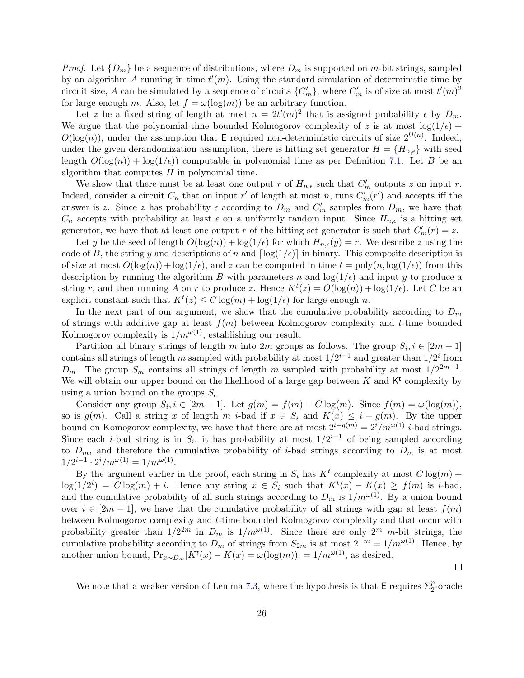*Proof.* Let  $\{D_m\}$  be a sequence of distributions, where  $D_m$  is supported on m-bit strings, sampled by an algorithm A running in time  $t'(m)$ . Using the standard simulation of deterministic time by circuit size, A can be simulated by a sequence of circuits  $\{C'_m\}$ , where  $C'_m$  is of size at most  $t'(m)^2$ for large enough m. Also, let  $f = \omega(\log(m))$  be an arbitrary function.

Let z be a fixed string of length at most  $n = 2t'(m)^2$  that is assigned probability  $\epsilon$  by  $D_m$ . We argue that the polynomial-time bounded Kolmogorov complexity of z is at most  $log(1/\epsilon)$  +  $O(\log(n))$ , under the assumption that E required non-deterministic circuits of size  $2^{\Omega(n)}$ . Indeed, under the given derandomization assumption, there is hitting set generator  $H = \{H_{n,\epsilon}\}\$  with seed length  $O(log(n)) + log(1/\epsilon)$  computable in polynomial time as per Definition [7.1.](#page-24-1) Let B be an algorithm that computes  $H$  in polynomial time.

We show that there must be at least one output r of  $H_{n,\epsilon}$  such that  $C'_m$  outputs z on input r. Indeed, consider a circuit  $C_n$  that on input r' of length at most n, runs  $C'_m(r')$  and accepts iff the answer is z. Since z has probability  $\epsilon$  according to  $D_m$  and  $C'_m$  samples from  $D_m$ , we have that  $C_n$  accepts with probability at least  $\epsilon$  on a uniformly random input. Since  $H_{n,\epsilon}$  is a hitting set generator, we have that at least one output r of the hitting set generator is such that  $C'_m(r) = z$ .

Let y be the seed of length  $O(\log(n)) + \log(1/\epsilon)$  for which  $H_{n,\epsilon}(y) = r$ . We describe z using the code of B, the string y and descriptions of n and  $\lceil \log(1/\epsilon) \rceil$  in binary. This composite description is of size at most  $O(\log(n)) + \log(1/\epsilon)$ , and z can be computed in time  $t = \text{poly}(n, \log(1/\epsilon))$  from this description by running the algorithm B with parameters n and  $log(1/\epsilon)$  and input y to produce a string r, and then running A on r to produce z. Hence  $K^t(z) = O(\log(n)) + \log(1/\epsilon)$ . Let C be an explicit constant such that  $K^t(z) \leq C \log(m) + \log(1/\epsilon)$  for large enough n.

In the next part of our argument, we show that the cumulative probability according to  $D_m$ of strings with additive gap at least  $f(m)$  between Kolmogorov complexity and t-time bounded Kolmogorov complexity is  $1/m^{\omega(1)}$ , establishing our result.

Partition all binary strings of length m into 2m groups as follows. The group  $S_i, i \in [2m-1]$ contains all strings of length m sampled with probability at most  $1/2^{i-1}$  and greater than  $1/2^i$  from  $D_m$ . The group  $S_m$  contains all strings of length m sampled with probability at most  $1/2^{2m-1}$ . We will obtain our upper bound on the likelihood of a large gap between  $K$  and  $K<sup>t</sup>$  complexity by using a union bound on the groups  $S_i$ .

Consider any group  $S_i, i \in [2m-1]$ . Let  $g(m) = f(m) - C \log(m)$ . Since  $f(m) = \omega(\log(m))$ , so is  $g(m)$ . Call a string x of length m i-bad if  $x \in S_i$  and  $K(x) \leq i - g(m)$ . By the upper bound on Komogorov complexity, we have that there are at most  $2^{i-g(m)} = 2^{i}/m^{\omega(1)}i$ -bad strings. Since each *i*-bad string is in  $S_i$ , it has probability at most  $1/2^{i-1}$  of being sampled according to  $D_m$ , and therefore the cumulative probability of *i*-bad strings according to  $D_m$  is at most  $1/2^{i-1} \cdot 2^i/m^{\omega(1)} = 1/m^{\omega(1)}$ .

By the argument earlier in the proof, each string in  $S_i$  has  $K^t$  complexity at most  $C \log(m)$  +  $log(1/2^{i}) = C log(m) + i$ . Hence any string  $x \in S_{i}$  such that  $K^{t}(x) - K(x) \ge f(m)$  is *i*-bad, and the cumulative probability of all such strings according to  $D_m$  is  $1/m^{\omega(1)}$ . By a union bound over  $i \in [2m-1]$ , we have that the cumulative probability of all strings with gap at least  $f(m)$ between Kolmogorov complexity and t-time bounded Kolmogorov complexity and that occur with probability greater than  $1/2^{2m}$  in  $D_m$  is  $1/m^{\omega(1)}$ . Since there are only  $2^m$  m-bit strings, the cumulative probability according to  $D_m$  of strings from  $S_{2m}$  is at most  $2^{-m} = 1/m^{\omega(1)}$ . Hence, by another union bound,  $Pr_{x \sim D_m}[K^t(x) - K(x) = \omega(\log(m))] = 1/m^{\omega(1)}$ , as desired.

We note that a weaker version of Lemma [7.3,](#page-24-2) where the hypothesis is that  $\mathsf{E}$  requires  $\Sigma_2^p$ -oracle

 $\Box$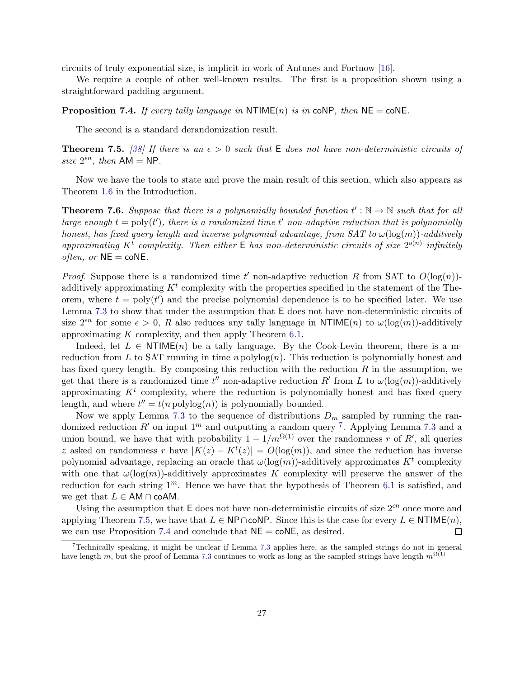circuits of truly exponential size, is implicit in work of Antunes and Fortnow [\[16\]](#page-28-7).

We require a couple of other well-known results. The first is a proposition shown using a straightforward padding argument.

<span id="page-26-2"></span>**Proposition 7.4.** If every tally language in  $NTIME(n)$  is in coNP, then  $NE = \text{coNE}$ .

The second is a standard derandomization result.

<span id="page-26-1"></span>**Theorem 7.5.** [\[38\]](#page-30-5) If there is an  $\epsilon > 0$  such that E does not have non-deterministic circuits of size  $2^{\epsilon n}$ , then  $AM = NP$ .

Now we have the tools to state and prove the main result of this section, which also appears as Theorem [1.6](#page-5-1) in the Introduction.

**Theorem 7.6.** Suppose that there is a polynomially bounded function  $t': \mathbb{N} \to \mathbb{N}$  such that for all large enough  $t = \text{poly}(t')$ , there is a randomized time t' non-adaptive reduction that is polynomially honest, has fixed query length and inverse polynomial advantage, from  $SAT$  to  $\omega(\log(m))$ -additively approximating K<sup>t</sup> complexity. Then either  $E$  has non-deterministic circuits of size  $2^{o(n)}$  infinitely *often, or*  $NE = \text{co}NE$ .

*Proof.* Suppose there is a randomized time t' non-adaptive reduction R from SAT to  $O(\log(n))$ additively approximating  $K^t$  complexity with the properties specified in the statement of the Theorem, where  $t = poly(t')$  and the precise polynomial dependence is to be specified later. We use Lemma [7.3](#page-24-2) to show that under the assumption that E does not have non-deterministic circuits of size  $2^{\epsilon n}$  for some  $\epsilon > 0$ , R also reduces any tally language in NTIME(n) to  $\omega(\log(m))$ -additively approximating  $K$  complexity, and then apply Theorem [6.1.](#page-23-0)

Indeed, let  $L \in \text{NTIME}(n)$  be a tally language. By the Cook-Levin theorem, there is a mreduction from L to SAT running in time  $n$  polylog $(n)$ . This reduction is polynomially honest and has fixed query length. By composing this reduction with the reduction  $R$  in the assumption, we get that there is a randomized time  $t''$  non-adaptive reduction R' from L to  $\omega(\log(m))$ -additively approximating  $K^t$  complexity, where the reduction is polynomially honest and has fixed query length, and where  $t'' = t(n \text{ polylog}(n))$  is polynomially bounded.

Now we apply Lemma [7.3](#page-24-2) to the sequence of distributions  $D_m$  sampled by running the randomized reduction R' on input  $1^m$  and outputting a random query <sup>[7](#page-26-0)</sup>. Applying Lemma [7.3](#page-24-2) and a union bound, we have that with probability  $1 - 1/m^{\Omega(1)}$  over the randomness r of R', all queries z asked on randomness r have  $|K(z) - K^{t}(z)| = O(\log(m))$ , and since the reduction has inverse polynomial advantage, replacing an oracle that  $\omega(\log(m))$ -additively approximates  $K^t$  complexity with one that  $\omega(\log(m))$ -additively approximates K complexity will preserve the answer of the reduction for each string  $1^m$ . Hence we have that the hypothesis of Theorem [6.1](#page-23-0) is satisfied, and we get that  $L \in AM \cap coAM$ .

Using the assumption that  $E$  does not have non-deterministic circuits of size  $2^{\epsilon n}$  once more and applying Theorem [7.5,](#page-26-1) we have that  $L \in \mathsf{NP} \cap \mathsf{coNP}$ . Since this is the case for every  $L \in \mathsf{NTIME}(n)$ , we can use Proposition [7.4](#page-26-2) and conclude that  $NE = \text{coNE}$ , as desired.  $\Box$ 

<span id="page-26-0"></span><sup>7</sup>Technically speaking, it might be unclear if Lemma [7.3](#page-24-2) applies here, as the sampled strings do not in general have length m, but the proof of Lemma [7.3](#page-24-2) continues to work as long as the sampled strings have length  $m^{\Omega(1)}$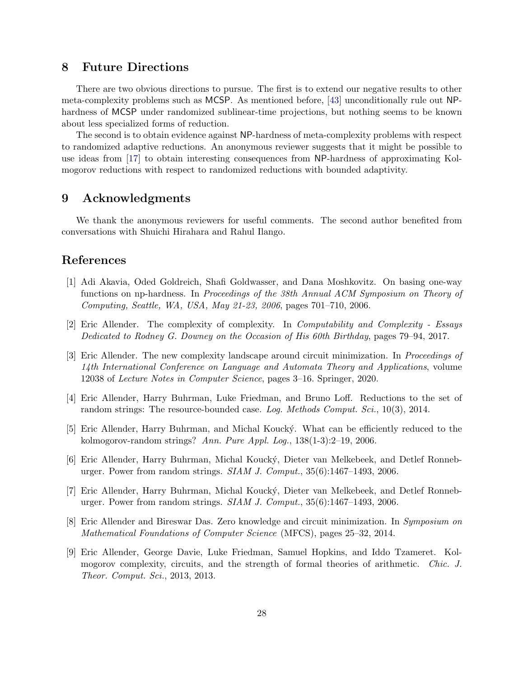## 8 Future Directions

There are two obvious directions to pursue. The first is to extend our negative results to other meta-complexity problems such as MCSP. As mentioned before, [\[43\]](#page-30-3) unconditionally rule out NPhardness of MCSP under randomized sublinear-time projections, but nothing seems to be known about less specialized forms of reduction.

The second is to obtain evidence against NP-hardness of meta-complexity problems with respect to randomized adaptive reductions. An anonymous reviewer suggests that it might be possible to use ideas from [\[17\]](#page-28-9) to obtain interesting consequences from NP-hardness of approximating Kolmogorov reductions with respect to randomized reductions with bounded adaptivity.

## 9 Acknowledgments

We thank the anonymous reviewers for useful comments. The second author benefited from conversations with Shuichi Hirahara and Rahul Ilango.

## References

- <span id="page-27-8"></span>[1] Adi Akavia, Oded Goldreich, Shafi Goldwasser, and Dana Moshkovitz. On basing one-way functions on np-hardness. In Proceedings of the 38th Annual ACM Symposium on Theory of Computing, Seattle, WA, USA, May 21-23, 2006, pages 701–710, 2006.
- <span id="page-27-6"></span>[2] Eric Allender. The complexity of complexity. In Computability and Complexity - Essays Dedicated to Rodney G. Downey on the Occasion of His 60th Birthday, pages 79–94, 2017.
- <span id="page-27-7"></span>[3] Eric Allender. The new complexity landscape around circuit minimization. In Proceedings of 14th International Conference on Language and Automata Theory and Applications, volume 12038 of Lecture Notes in Computer Science, pages 3–16. Springer, 2020.
- <span id="page-27-5"></span>[4] Eric Allender, Harry Buhrman, Luke Friedman, and Bruno Loff. Reductions to the set of random strings: The resource-bounded case. Log. Methods Comput. Sci., 10(3), 2014.
- <span id="page-27-3"></span>[5] Eric Allender, Harry Buhrman, and Michal Kouck´y. What can be efficiently reduced to the kolmogorov-random strings? Ann. Pure Appl. Log.,  $138(1-3):2-19$ ,  $2006$ .
- <span id="page-27-0"></span>[6] Eric Allender, Harry Buhrman, Michal Kouck´y, Dieter van Melkebeek, and Detlef Ronneburger. Power from random strings.  $SIAM$  J. Comput.,  $35(6)$ :1467–1493, 2006.
- <span id="page-27-2"></span>[7] Eric Allender, Harry Buhrman, Michal Kouck´y, Dieter van Melkebeek, and Detlef Ronneburger. Power from random strings. SIAM J. Comput., 35(6):1467–1493, 2006.
- <span id="page-27-1"></span>[8] Eric Allender and Bireswar Das. Zero knowledge and circuit minimization. In Symposium on Mathematical Foundations of Computer Science (MFCS), pages 25–32, 2014.
- <span id="page-27-4"></span>[9] Eric Allender, George Davie, Luke Friedman, Samuel Hopkins, and Iddo Tzameret. Kolmogorov complexity, circuits, and the strength of formal theories of arithmetic. Chic. J. Theor. Comput. Sci., 2013, 2013.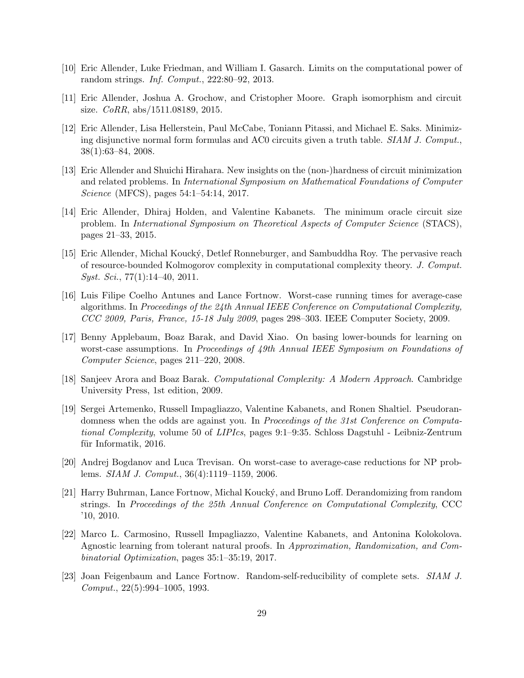- <span id="page-28-3"></span>[10] Eric Allender, Luke Friedman, and William I. Gasarch. Limits on the computational power of random strings. Inf. Comput., 222:80–92, 2013.
- <span id="page-28-0"></span>[11] Eric Allender, Joshua A. Grochow, and Cristopher Moore. Graph isomorphism and circuit size. CoRR, abs/1511.08189, 2015.
- [12] Eric Allender, Lisa Hellerstein, Paul McCabe, Toniann Pitassi, and Michael E. Saks. Minimizing disjunctive normal form formulas and AC0 circuits given a truth table. SIAM J. Comput., 38(1):63–84, 2008.
- [13] Eric Allender and Shuichi Hirahara. New insights on the (non-)hardness of circuit minimization and related problems. In International Symposium on Mathematical Foundations of Computer Science (MFCS), pages 54:1–54:14, 2017.
- [14] Eric Allender, Dhiraj Holden, and Valentine Kabanets. The minimum oracle circuit size problem. In International Symposium on Theoretical Aspects of Computer Science (STACS), pages 21–33, 2015.
- [15] Eric Allender, Michal Kouck´y, Detlef Ronneburger, and Sambuddha Roy. The pervasive reach of resource-bounded Kolmogorov complexity in computational complexity theory. J. Comput.  $Syst. Sci., 77(1):14–40, 2011.$
- <span id="page-28-7"></span>[16] Luis Filipe Coelho Antunes and Lance Fortnow. Worst-case running times for average-case algorithms. In Proceedings of the 24th Annual IEEE Conference on Computational Complexity, CCC 2009, Paris, France, 15-18 July 2009, pages 298–303. IEEE Computer Society, 2009.
- <span id="page-28-9"></span>[17] Benny Applebaum, Boaz Barak, and David Xiao. On basing lower-bounds for learning on worst-case assumptions. In Proceedings of 49th Annual IEEE Symposium on Foundations of Computer Science, pages 211–220, 2008.
- <span id="page-28-8"></span>[18] Sanjeev Arora and Boaz Barak. Computational Complexity: A Modern Approach. Cambridge University Press, 1st edition, 2009.
- <span id="page-28-6"></span>[19] Sergei Artemenko, Russell Impagliazzo, Valentine Kabanets, and Ronen Shaltiel. Pseudorandomness when the odds are against you. In Proceedings of the 31st Conference on Computational Complexity, volume 50 of LIPIcs, pages 9:1–9:35. Schloss Dagstuhl - Leibniz-Zentrum für Informatik, 2016.
- <span id="page-28-5"></span>[20] Andrej Bogdanov and Luca Trevisan. On worst-case to average-case reductions for NP problems. SIAM J. Comput., 36(4):1119–1159, 2006.
- <span id="page-28-2"></span>[21] Harry Buhrman, Lance Fortnow, Michal Kouck´y, and Bruno Loff. Derandomizing from random strings. In Proceedings of the 25th Annual Conference on Computational Complexity, CCC '10, 2010.
- <span id="page-28-1"></span>[22] Marco L. Carmosino, Russell Impagliazzo, Valentine Kabanets, and Antonina Kolokolova. Agnostic learning from tolerant natural proofs. In Approximation, Randomization, and Combinatorial Optimization, pages 35:1–35:19, 2017.
- <span id="page-28-4"></span>[23] Joan Feigenbaum and Lance Fortnow. Random-self-reducibility of complete sets. SIAM J. Comput., 22(5):994–1005, 1993.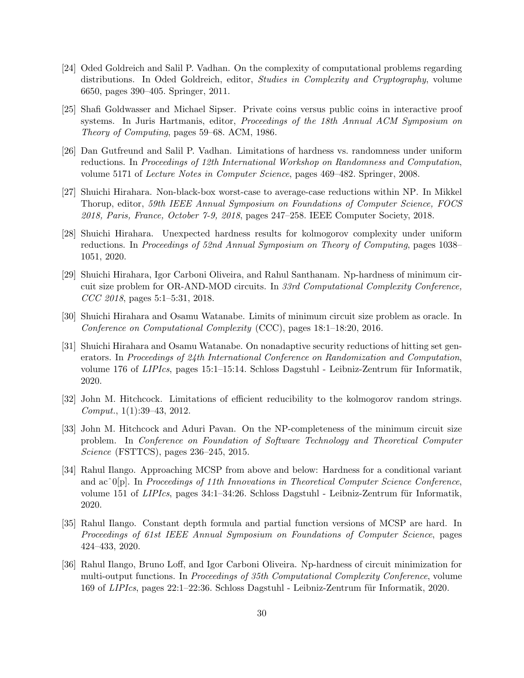- <span id="page-29-10"></span>[24] Oded Goldreich and Salil P. Vadhan. On the complexity of computational problems regarding distributions. In Oded Goldreich, editor, *Studies in Complexity and Cryptography*, volume 6650, pages 390–405. Springer, 2011.
- <span id="page-29-9"></span>[25] Shafi Goldwasser and Michael Sipser. Private coins versus public coins in interactive proof systems. In Juris Hartmanis, editor, *Proceedings of the 18th Annual ACM Symposium on* Theory of Computing, pages 59–68. ACM, 1986.
- <span id="page-29-5"></span>[26] Dan Gutfreund and Salil P. Vadhan. Limitations of hardness vs. randomness under uniform reductions. In Proceedings of 12th International Workshop on Randomness and Computation, volume 5171 of Lecture Notes in Computer Science, pages 469–482. Springer, 2008.
- <span id="page-29-3"></span>[27] Shuichi Hirahara. Non-black-box worst-case to average-case reductions within NP. In Mikkel Thorup, editor, 59th IEEE Annual Symposium on Foundations of Computer Science, FOCS 2018, Paris, France, October 7-9, 2018, pages 247–258. IEEE Computer Society, 2018.
- <span id="page-29-2"></span>[28] Shuichi Hirahara. Unexpected hardness results for kolmogorov complexity under uniform reductions. In Proceedings of 52nd Annual Symposium on Theory of Computing, pages 1038– 1051, 2020.
- [29] Shuichi Hirahara, Igor Carboni Oliveira, and Rahul Santhanam. Np-hardness of minimum circuit size problem for OR-AND-MOD circuits. In 33rd Computational Complexity Conference, CCC 2018, pages 5:1–5:31, 2018.
- <span id="page-29-8"></span>[30] Shuichi Hirahara and Osamu Watanabe. Limits of minimum circuit size problem as oracle. In Conference on Computational Complexity (CCC), pages 18:1–18:20, 2016.
- <span id="page-29-6"></span>[31] Shuichi Hirahara and Osamu Watanabe. On nonadaptive security reductions of hitting set generators. In Proceedings of 24th International Conference on Randomization and Computation, volume 176 of *LIPIcs*, pages 15:1–15:14. Schloss Dagstuhl - Leibniz-Zentrum für Informatik, 2020.
- <span id="page-29-4"></span>[32] John M. Hitchcock. Limitations of efficient reducibility to the kolmogorov random strings. Comput., 1(1):39–43, 2012.
- [33] John M. Hitchcock and Aduri Pavan. On the NP-completeness of the minimum circuit size problem. In Conference on Foundation of Software Technology and Theoretical Computer Science (FSTTCS), pages 236–245, 2015.
- <span id="page-29-0"></span>[34] Rahul Ilango. Approaching MCSP from above and below: Hardness for a conditional variant and ac $\hat{O}[p]$ . In Proceedings of 11th Innovations in Theoretical Computer Science Conference, volume 151 of *LIPIcs*, pages  $34:1-34:26$ . Schloss Dagstuhl - Leibniz-Zentrum für Informatik, 2020.
- <span id="page-29-7"></span>[35] Rahul Ilango. Constant depth formula and partial function versions of MCSP are hard. In Proceedings of 61st IEEE Annual Symposium on Foundations of Computer Science, pages 424–433, 2020.
- <span id="page-29-1"></span>[36] Rahul Ilango, Bruno Loff, and Igor Carboni Oliveira. Np-hardness of circuit minimization for multi-output functions. In Proceedings of 35th Computational Complexity Conference, volume 169 of LIPIcs, pages 22:1–22:36. Schloss Dagstuhl - Leibniz-Zentrum für Informatik, 2020.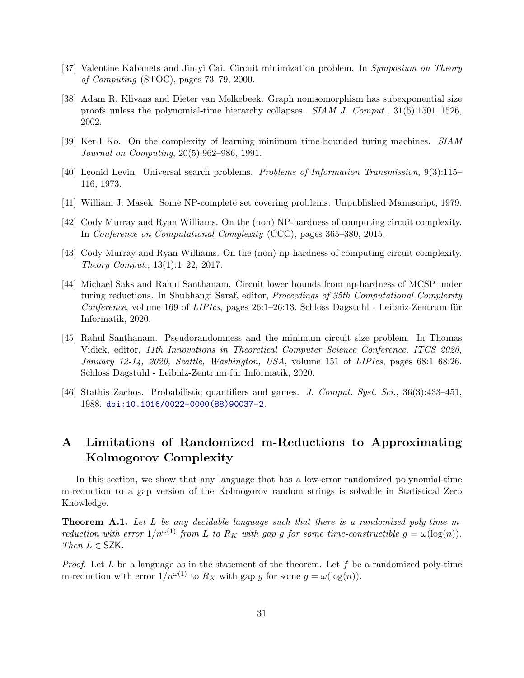- <span id="page-30-1"></span>[37] Valentine Kabanets and Jin-yi Cai. Circuit minimization problem. In Symposium on Theory of Computing (STOC), pages 73–79, 2000.
- <span id="page-30-5"></span>[38] Adam R. Klivans and Dieter van Melkebeek. Graph nonisomorphism has subexponential size proofs unless the polynomial-time hierarchy collapses. SIAM J. Comput., 31(5):1501–1526, 2002.
- <span id="page-30-7"></span>[39] Ker-I Ko. On the complexity of learning minimum time-bounded turing machines. SIAM Journal on Computing, 20(5):962–986, 1991.
- [40] Leonid Levin. Universal search problems. Problems of Information Transmission, 9(3):115– 116, 1973.
- [41] William J. Masek. Some NP-complete set covering problems. Unpublished Manuscript, 1979.
- <span id="page-30-0"></span>[42] Cody Murray and Ryan Williams. On the (non) NP-hardness of computing circuit complexity. In Conference on Computational Complexity (CCC), pages 365–380, 2015.
- <span id="page-30-3"></span>[43] Cody Murray and Ryan Williams. On the (non) np-hardness of computing circuit complexity. Theory Comput., 13(1):1–22, 2017.
- <span id="page-30-4"></span>[44] Michael Saks and Rahul Santhanam. Circuit lower bounds from np-hardness of MCSP under turing reductions. In Shubhangi Saraf, editor, Proceedings of 35th Computational Complexity  $Conference$ , volume 169 of *LIPIcs*, pages  $26:1-26:13$ . Schloss Dagstuhl - Leibniz-Zentrum für Informatik, 2020.
- <span id="page-30-2"></span>[45] Rahul Santhanam. Pseudorandomness and the minimum circuit size problem. In Thomas Vidick, editor, 11th Innovations in Theoretical Computer Science Conference, ITCS 2020, January 12-14, 2020, Seattle, Washington, USA, volume 151 of LIPIcs, pages 68:1–68:26. Schloss Dagstuhl - Leibniz-Zentrum für Informatik, 2020.
- <span id="page-30-6"></span>[46] Stathis Zachos. Probabilistic quantifiers and games. J. Comput. Syst. Sci., 36(3):433–451, 1988. [doi:10.1016/0022-0000\(88\)90037-2](https://doi.org/10.1016/0022-0000(88)90037-2).

# A Limitations of Randomized m-Reductions to Approximating Kolmogorov Complexity

In this section, we show that any language that has a low-error randomized polynomial-time m-reduction to a gap version of the Kolmogorov random strings is solvable in Statistical Zero Knowledge.

Theorem A.1. Let L be any decidable language such that there is a randomized poly-time mreduction with error  $1/n^{\omega(1)}$  from L to  $R_K$  with gap g for some time-constructible  $g = \omega(\log(n))$ . Then  $L \in$  SZK.

*Proof.* Let L be a language as in the statement of the theorem. Let  $f$  be a randomized poly-time m-reduction with error  $1/n^{\omega(1)}$  to  $R_K$  with gap g for some  $g = \omega(\log(n))$ .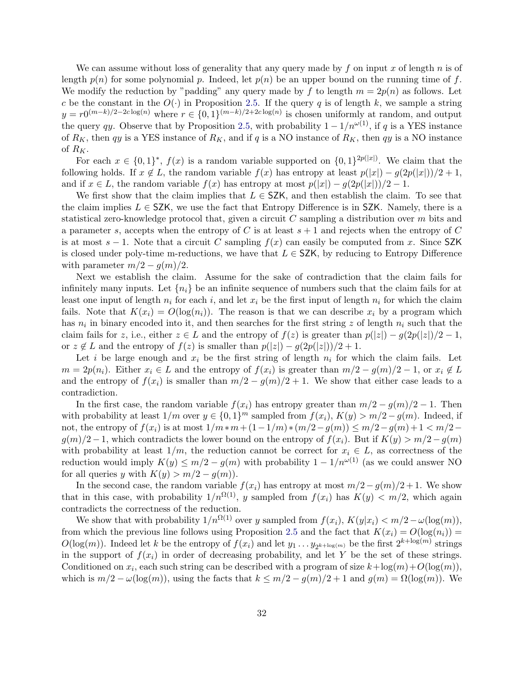We can assume without loss of generality that any query made by f on input x of length  $n$  is of length  $p(n)$  for some polynomial p. Indeed, let  $p(n)$  be an upper bound on the running time of f. We modify the reduction by "padding" any query made by f to length  $m = 2p(n)$  as follows. Let c be the constant in the  $O(\cdot)$  in Proposition [2.5.](#page-10-1) If the query q is of length k, we sample a string  $y = r0^{(m-k)/2-2c\log(n)}$  where  $r \in \{0,1\}^{(m-k)/2+2c\log(n)}$  is chosen uniformly at random, and output the query qy. Observe that by Proposition [2.5,](#page-10-1) with probability  $1 - 1/n^{\omega(1)}$ , if q is a YES instance of  $R_K$ , then qy is a YES instance of  $R_K$ , and if q is a NO instance of  $R_K$ , then qy is a NO instance of  $R_K$ .

For each  $x \in \{0,1\}^*, f(x)$  is a random variable supported on  $\{0,1\}^{2p(|x|)}$ . We claim that the following holds. If  $x \notin L$ , the random variable  $f(x)$  has entropy at least  $p(|x|) - q(2p(|x|))/2 + 1$ , and if  $x \in L$ , the random variable  $f(x)$  has entropy at most  $p(|x|) - q(2p(|x|))/2 - 1$ .

We first show that the claim implies that  $L \in \mathsf{SZK}$ , and then establish the claim. To see that the claim implies  $L \in \mathsf{SZK}$ , we use the fact that Entropy Difference is in SZK. Namely, there is a statistical zero-knowledge protocol that, given a circuit C sampling a distribution over m bits and a parameter s, accepts when the entropy of C is at least  $s + 1$  and rejects when the entropy of C is at most  $s - 1$ . Note that a circuit C sampling  $f(x)$  can easily be computed from x. Since SZK is closed under poly-time m-reductions, we have that  $L \in \mathsf{SZK}$ , by reducing to Entropy Difference with parameter  $m/2 - g(m)/2$ .

Next we establish the claim. Assume for the sake of contradiction that the claim fails for infinitely many inputs. Let  $\{n_i\}$  be an infinite sequence of numbers such that the claim fails for at least one input of length  $n_i$  for each i, and let  $x_i$  be the first input of length  $n_i$  for which the claim fails. Note that  $K(x_i) = O(\log(n_i))$ . The reason is that we can describe  $x_i$  by a program which has  $n_i$  in binary encoded into it, and then searches for the first string z of length  $n_i$  such that the claim fails for z, i.e., either  $z \in L$  and the entropy of  $f(z)$  is greater than  $p(|z|) - g(2p(|z|)/2 - 1$ , or  $z \notin L$  and the entropy of  $f(z)$  is smaller than  $p(|z|) - g(2p(|z|))/2 + 1$ .

Let i be large enough and  $x_i$  be the first string of length  $n_i$  for which the claim fails. Let  $m = 2p(n_i)$ . Either  $x_i \in L$  and the entropy of  $f(x_i)$  is greater than  $m/2 - g(m)/2 - 1$ , or  $x_i \notin L$ and the entropy of  $f(x_i)$  is smaller than  $m/2 - g(m)/2 + 1$ . We show that either case leads to a contradiction.

In the first case, the random variable  $f(x_i)$  has entropy greater than  $m/2 - g(m)/2 - 1$ . Then with probability at least  $1/m$  over  $y \in \{0,1\}^m$  sampled from  $f(x_i)$ ,  $K(y) > m/2 - g(m)$ . Indeed, if not, the entropy of  $f(x_i)$  is at most  $1/m*m + (1-1/m)*(m/2-g(m)) \leq m/2-g(m)+1 < m/2 g(m)/2-1$ , which contradicts the lower bound on the entropy of  $f(x_i)$ . But if  $K(y) > m/2 - g(m)$ with probability at least  $1/m$ , the reduction cannot be correct for  $x_i \in L$ , as correctness of the reduction would imply  $K(y) \le m/2 - g(m)$  with probability  $1 - 1/n^{\omega(1)}$  (as we could answer NO for all queries y with  $K(y) > m/2 - g(m)$ .

In the second case, the random variable  $f(x_i)$  has entropy at most  $m/2 - g(m)/2 + 1$ . We show that in this case, with probability  $1/n^{\Omega(1)}$ , y sampled from  $f(x_i)$  has  $K(y) < m/2$ , which again contradicts the correctness of the reduction.

We show that with probability  $1/n^{\Omega(1)}$  over y sampled from  $f(x_i)$ ,  $K(y|x_i) < m/2 - \omega(\log(m))$ , from which the previous line follows using Proposition [2.5](#page-10-1) and the fact that  $K(x_i) = O(\log(n_i))$  $O(\log(m))$ . Indeed let k be the entropy of  $f(x_i)$  and let  $y_1 \ldots y_{2^{k+\log(m)}}$  be the first  $2^{k+\log(m)}$  strings in the support of  $f(x_i)$  in order of decreasing probability, and let Y be the set of these strings. Conditioned on  $x_i$ , each such string can be described with a program of size  $k + \log(m) + O(\log(m))$ , which is  $m/2 - \omega(\log(m))$ , using the facts that  $k \leq m/2 - g(m)/2 + 1$  and  $g(m) = \Omega(\log(m))$ . We